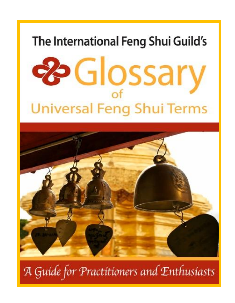# The International Feng Shui Guild's





A Guide for Practitioners and Enthusiasts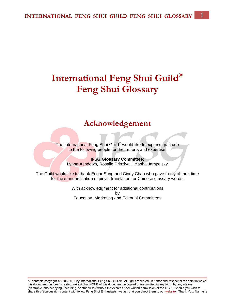## **International Feng Shui Guild® Feng Shui Glossary**

### **Acknowledgement**

The International Feng Shui Guild<sup>®</sup> would like to express gratitude to the following people for their efforts and expertise.

**IFSG Glossary Committee:** Lynne Ashdown, Rosalie Prinzivalli, Yasha Jampolsky

The Guild would like to thank Edgar Sung and Cindy Chan who gave freely of their time for the standardization of pinyin translation for Chinese glossary words.

> With acknowledgment for additional contributions by Education, Marketing and Editorial Committees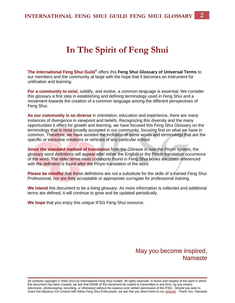## **In The Spirit of Feng Shui**

**The International Feng Shui Guild®** offers this **Feng Shui Glossary of Universal Terms** to our members and the community at large with the hope that it becomes an instrument for unification and learning.

**For a community to exist**, solidify, and evolve, a common language is essential. We consider this glossary a first step in establishing and defining terminology used in Feng Shui and a movement towards the creation of a common language among the different perspectives of Feng Shui.

**As our community is so diverse** in orientation, education and experience, there are many instances of divergence in viewpoint and beliefs. Recognizing this diversity and the many opportunities it offers for growth and learning, we have focused this Feng Shui Glossary on the terminology that is most broadly accepted in our community, focusing first on what we have in common. Therefore, we have avoided the inclusion of some words and terminology that are the specific or exclusive creations or vehicles of any particular school.

**Since the standard method of translation** from the Chinese is now the Pinyin system, the glossary word definitions will appear after either the English or the Pinyin translation occurrence of the word. The older terms most commonly found in Feng Shui books are cross-referenced with the definition is found after the Pinyin translation of the word.

**Please be mindful** that these definitions are not a substitute for the skills of a trained Feng Shui Professional, nor are they acceptable or appropriate surrogate for professional training.

**We intend** this document to be a living glossary. As more information is collected and additional terms are defined, it will continue to grow and be updated periodically.

**We hope** that you enjoy this unique IFSG Feng Shui resource.

May you become inspired, Namaste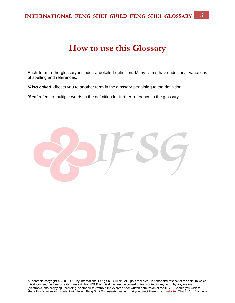## **How to use this Glossary**

Each term in the glossary includes a detailed definition. Many terms have additional variations of spelling and references.

*'Also called'* directs you to another term in the glossary pertaining to the definition.

*'See'* refers to multiple words in the definition for further reference in the glossary.

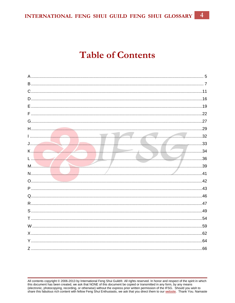$\overline{4}$ INTERNATIONAL FENG SHUI GUILD FENG SHUI GLOSSARY

## **Table of Contents**

|                | .5               |
|----------------|------------------|
|                | $\overline{7}$   |
|                |                  |
|                |                  |
|                |                  |
|                |                  |
|                |                  |
|                |                  |
| $\frac{32}{2}$ |                  |
|                |                  |
|                | $\frac{1}{2}$ 34 |
|                |                  |
|                |                  |
|                |                  |
|                |                  |
|                |                  |
|                |                  |
|                |                  |
|                |                  |
|                |                  |
|                |                  |
|                |                  |
|                |                  |
|                |                  |
|                |                  |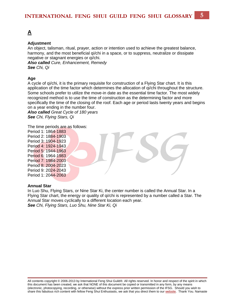### <span id="page-5-0"></span>**[A](#page-5-0)**

#### **Adjustment**

An object, talisman, ritual, prayer, action or intention used to achieve the greatest balance, harmony, and the most beneficial qi/chi in a space, or to suppress, neutralize or dissipate negative or stagnant energies or qi/chi.

*Also called Cure, Enhancement, Remedy See Chi, Qi*

#### **Age**

A cycle of qi/chi, it is the primary requisite for construction of a Flying Star chart. It is this application of the time factor which determines the allocation of qi/chi throughout the structure. Some schools prefer to utilize the move-in date as the essential time factor. The most widely recognized method is to use the time of construction as the determining factor and more specifically the time of the closing of the roof. Each age or period lasts twenty years and begins on a year ending in the number four.

*Also called Great Cycle of 180 years See Chi, Flying Stars, Qi*

The time periods are as follows:

Period 1: 1864-1883 Period 2: 1884-1903 Period 3: 1904-1923 Period 4: 1924-1943 Period 5: 1944-1963 Period 6: 1964-1983 Period 7: 1984-2003 Period 8: 2004-2023 Period 9: 2024-2043 Period 1: 2044-2063

#### **Annual Star**

In Luo Shu, Flying Stars, or Nine Star Ki, the center number is called the Annual Star. In a Flying Star chart, the energy or quality of qi/chi is represented by a number called a Star. The Annual Star moves cyclically to a different location each year. *See Chi, Flying Stars, Luo Shu, Nine Star Ki, Qi*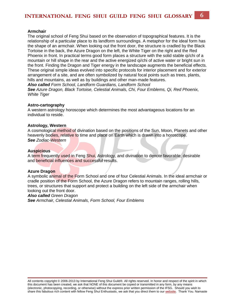#### **Armchair**

The original school of Feng Shui based on the observation of topographical features. It is the relationship of a particular place to its landform surroundings. A metaphor for the ideal form has the shape of an armchair. When looking out the front door, the structure is cradled by the Black Tortoise in the back, the Azure Dragon on the left, the White Tiger on the right and the Red Phoenix in front. In practical terms good form places a structure with the solid stable qi/chi of a mountain or hill shape in the rear and the active energized qi/chi of active water or bright sun in the front. Finding the Dragon and Tiger energy in the landscape augments the beneficial effects. These original simple ideas evolved into specific protocols for interior placement and for exterior arrangement of a site, and are often symbolized by natural focal points such as trees, plants, hills and mountains, as well as by buildings and other man-made features.

*Also called Form School, Landform Guardians, Landform School*

*See Azure Dragon, Black Tortoise, Celestial Animals, Chi, Four Emblems, Qi, Red Phoenix, White Tiger*

#### **Astro-cartography**

A western astrology horoscope which determines the most advantageous locations for an individual to reside.

#### **Astrology, Western**

A cosmological method of divination based on the positions of the Sun, Moon, Planets and other heavenly bodies, relative to time and place on Earth which is drawn into a horoscope. *See Zodiac-Western*

#### **Auspicious**

A term frequently used in Feng Shui, Astrology, and divination to denote favorable, desirable and beneficial influences and successful results.

#### **Azure Dragon**

A symbolic animal of the Form School and one of four Celestial Animals. In the ideal armchair or cradle position of the Form School, the Azure Dragon refers to mountain ranges, rolling hills, trees, or structures that support and protect a building on the left side of the armchair when looking out the front door.

#### *Also called Green Dragon*

*See Armchair, Celestial Animals, Form School, Four Emblems*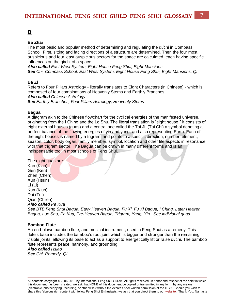### <span id="page-7-0"></span>**[B](#page-7-0)**

#### **Ba Zhai**

The most basic and popular method of determining and regulating the qi/chi in Compass School. First, sitting and facing directions of a structure are determined. Then the four most auspicious and four least auspicious sectors for the space are calculated, each having specific influences on the qi/chi of a space.

*Also called East West System, Eight House Feng Shui, Eight Mansions See Chi, Compass School, East West System, Eight House Feng Shui, Eight Mansions, Qi*

#### **Ba Zi**

Refers to Four Pillars Astrology - literally translates to Eight Characters (in Chinese) - which is composed of four combinations of Heavenly Stems and Earthly Branches. *Also called Chinese Astrology See Earthly Branches, Four Pillars Astrology, Heavenly Stems*

#### **Bagua**

A diagram akin to the Chinese flowchart for the cyclical energies of the manifested universe, originating from the I Ching and the Lo Shu. The literal translation is "eight house." It consists of eight external houses (guas) and a central one called the Tai Ji, (Tai Chi) a symbol denoting a perfect balance of the flowing energies of yin and yang, and also representing Earth. Each of the eight houses is named by a trigram, and points to a specific direction, number, element, season, color, body organ, family member, symbol, location and other life aspects in resonance with that trigram sector. The Bagua can be drawn in many different forms and is an indispensable tool in most schools of Feng Shui.

The eight guas are: Kan (K'an) Gen (Ken) Zhen (Chen) Xun (Hsun) Li (Li) Kun (K'un) Dui (Tui) Qian (Ch'ien) *Also called Pa Kua See BTB Feng Shui Bagua, Early Heaven Bagua, Fu Xi, Fu Xi Bagua, I Ching, Later Heaven Bagua, Luo Shu, Pa Kua, Pre-Heaven Bagua, Trigram, Yang, Yin. See individual guas.*

#### **Bamboo Flute**

An end-blown bamboo flute, and musical instrument, used in Feng Shui as a remedy. This flute's base includes the bamboo's root joint which is bigger and stronger than the remaining, visible joints, allowing its base to act as a support to energetically lift or raise qi/chi. The bamboo flute represents peace, harmony, and grounding.

#### *Also called Hsiao*

*See Chi, Remedy, Qi*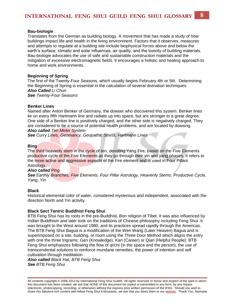#### **Bau-biologie**

Translates from the German as building biology. A movement that has made a study of how buildings impact life and health in the living environment. Factors that it observes, measures and attempts to regulate at a building site include biophysical forces above and below the earth's surface, climatic and solar influences, air quality, and the toxicity of building materials. Bau-biologie advocates the use of safe and sustainable construction materials and the mitigation of excessive electromagnetic fields. It encourages a holistic and healing approach to home and work environments.

#### **Beginning of Spring**

The first of the Twenty-Four Seasons, which usually begins February 4th or 5th. Determining the Beginning of Spring is essential in the calculation of several divination techniques. *Also Called Li Chun See Twenty-Four Seasons*

#### **Benker Lines**

Named after Anton Benker of Germany, the dowser who discovered this system. Benker lines lie on every fifth Hartmann line and radiate up into space, but are stronger to a great degree. One side of a Benker line is positively charged, and the other side is negatively charged. They are considered to be a source of potential health problems, and are located by dowsing. *Also called Ten Meter System*

*See Curry Lines, Geomancy, Geopathic Stress, Hartmann Lines*

#### **Bing**

The third heavenly stem in the cycle of ten, denoting Yang Fire, based on the Five Elements productive cycle of the Five Elements as they go through their yin and yang phases. It refers to the more active and aggressive aspects of the Fire element and is used in Four Pillars Astrology.

#### *Also called Ping*

*See Earthly Branches, Five Elements, Four Pillar Astrology, Heavenly Stems, Productive Cycle, Yang, Yin*

#### **Black**

Historical elemental color of water, considered mysterious and independent, associated with the direction North and Yin activity.

#### **Black Sect Tantric Buddhist Feng Shui**

BTB Feng Shui has its roots in the pre-Buddhist, Bon religion of Tibet. It was also influenced by Indian Buddhism and later took on the traditions of Chinese philosophy including Feng Shui. It was brought to the West around 1980, and its practices spread rapidly through the Americas. The BTB Feng Shui Bagua is a modification of the Wen Wang (Later Heaven) Bagua and is superimposed on a site, building, or room using the Three Door Method which aligns the entry with one the three trigrams: Gen (Knowledge), Kan (Career) or Qian (Helpful People). BTB Feng Shui emphasizes following the flow of qi/chi (in the space and the person), the use of transcendental solutions to reinforce mundane remedies, the power of intention and self cultivation through meditation.

*Also called Black Hat, BTB Feng Shui See BTB Feng Shui*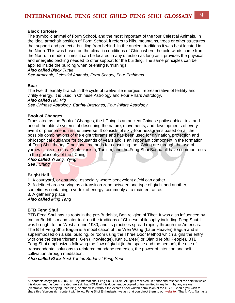#### **Black Tortoise**

The symbolic animal of Form School, and the most important of the four Celestial Animals. In the ideal armchair position of Form School, it refers to hills, mountains, trees or other structures that support and protect a building from behind. In the ancient traditions it was best located in the North. This was based on the climatic conditions of China where the cold winds came from the North. In modern times it can be located in any direction as long as it provides the physical and energetic backing needed to offer support for the building. The same principles can be applied inside the building when orienting furnishings.

*Also called Black Turtle*

*See Armchair, Celestial Animals, Form School, Four Emblems*

#### **Boar**

The twelfth earthly branch in the cycle of twelve life energies, representative of fertility and virility energy. It is used in Chinese Astrology and Four Pillars Astrology. *Also called Hai, Pig See Chinese Astrology, Earthly Branches, Four Pillars Astrology*

#### **Book of Changes**

Translated as the Book of Changes, the I Ching is an ancient Chinese philosophical text and one of the oldest systems of describing the nature, movements, and developments of every event or phenomenon in the universe. It consists of sixty-four hexagrams based on all the possible combinations of the eight trigrams and has been used for divination, protection and philosophical guidance for thousands of years and is an important component in the formation of Feng Shui theory. Traditional methods for consulting the I Ching are through the use of yarrow sticks or coins. Confucianism, Taoism, and the Feng Shui Bagua all have common roots in the philosophy of the I Ching.

*Also called Yi Jing, Yijing See I Ching*

#### **Bright Hall**

1. A courtyard, or entrance, especially where benevolent qi/chi can gather 2. A defined area serving as a transition zone between one type of qi/chi and another, sometimes containing a vortex of energy, commonly at a main entrance. 3. A gathering place *Also called Ming Tang*

#### **BTB Feng Shui**

BTB Feng Shui has its roots in the pre-Buddhist, Bon religion of Tibet. It was also influenced by Indian Buddhism and later took on the traditions of Chinese philosophy including Feng Shui. It was brought to the West around 1980, and its practices spread rapidly through the Americas. The BTB Feng Shui Bagua is a modification of the Wen Wang (Later Heaven) Bagua and is superimposed on a site, building, or room using the Three Door Method which aligns the entry with one the three trigrams: Gen (Knowledge), Kan (Career) or Qian (Helpful People). BTB Feng Shui emphasizes following the flow of qi/chi (in the space and the person), the use of transcendental solutions to reinforce mundane remedies, the power of intention and self cultivation through meditation.

*Also called Black Sect Tantric Buddhist Feng Shui*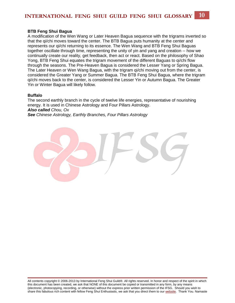#### **BTB Feng Shui Bagua**

A modification of the Wen Wang or Later Heaven Bagua sequence with the trigrams inverted so that the qi/chi moves toward the center. The BTB Bagua puts humanity at the center and represents our qi/chi returning to its essence. The Wen Wang and BTB Feng Shui Baguas together oscillate through time, representing the unity of yin and yang and creation -- how we continually create our reality, get feedback, then act or react. Based on the philosophy of Shao Yong, BTB Feng Shui equates the trigram movement of the different Baguas to qi/chi flow through the seasons. The Pre-Heaven Bagua is considered the Lesser Yang or Spring Bagua. The Later Heaven or Wen Wang Bagua, with the trigram qi/chi moving out from the center, is considered the Greater Yang or Summer Bagua. The BTB Feng Shui Bagua, where the trigram qi/chi moves back to the center, is considered the Lesser Yin or Autumn Bagua. The Greater Yin or Winter Bagua will likely follow.

#### **Buffalo**

The second earthly branch in the cycle of twelve life energies, representative of nourishing energy. It is used in Chinese Astrology and Four Pillars Astrology. *Also called Chou, Ox*

*See Chinese Astrology, Earthly Branches, Four Pillars Astrology*

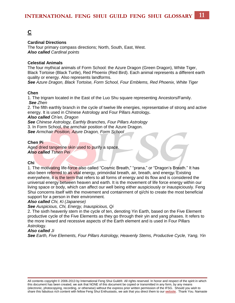### <span id="page-11-0"></span>**[C](#page-11-0)**

#### **Cardinal Directions**

The four primary compass directions; North, South, East, West. *Also called Cardinal points*

#### **Celestial Animals**

The four mythical animals of Form School: the Azure Dragon (Green Dragon), White Tiger, Black Tortoise (Black Turtle), Red Phoenix (Red Bird). Each animal represents a different earth quality or energy. Also represents landforms.

*See Azure Dragon, Black Tortoise, Form School, Four Emblems, Red Phoenix, White Tiger*

#### **Chen**

1. The trigram located in the East of the Luo Shu square representing Ancestors/Family. *See Zhen*

2. The fifth earthly branch in the cycle of twelve life energies, representative of strong and active energy. It is used in Chinese Astrology and Four Pillars Astrology**.** 

*Also called Ch'en, Dragon*

*See Chinese Astrology, Earthly Branches, Four Pillars Astrology* 3. In Form School, the armchair position of the Azure Dragon. *See Armchair Position, Azure Dragon, Form School*

#### **Chen Pi**

Aged dried tangerine skin used to purify a space. *Also called Tshen Pei*

#### **Chi**

1. The motivating life-force also called "Cosmic Breath," "prana," or "Dragon's Breath." It has also been referred to as vital energy, primordial breath, air, breath, and energy. Existing everywhere, it is the term that refers to all forms of energy and its flow and is considered the universal energy between heaven and earth. It is the movement of life force energy within our living space or body, which can affect our well being either auspiciously or inauspiciously. Feng Shui concerns itself with the movement and containment of qi/chi to create the most beneficial support for a person in their environment.

#### *Also called Chi, Ki (Japanese)*

#### *See Auspicious, Chi, Energy, Inauspicious, Qi*

2. The sixth heavenly stem in the cycle of ten, denoting Yin Earth, based on the Five Element productive cycle of the Five Elements as they go through their yin and yang phases. It refers to the more inward and recessive aspects of the Earth element and is used in Four Pillars Astrology.

#### *Also called Ji*

*See Earth, Five Elements, Four Pillars Astrology, Heavenly Stems, Productive Cycle, Yang, Yin*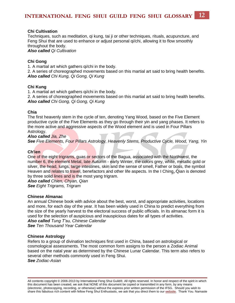#### **Chi Cultivation**

Techniques, such as meditation, qi kung, tai ji or other techniques, rituals, acupuncture, and Feng Shui that are used to enhance or adjust personal qi/chi, allowing it to flow smoothly throughout the body.

*Also called Qi Cultivation*

#### **Chi Gong**

1. A martial art which gathers qi/chi in the body.

2. A series of choreographed movements based on this martial art said to bring health benefits. *Also called Chi Kung, Qi Gong, Qi Kung*

#### **Chi Kung**

1. A martial art which gathers qi/chi in the body.

2. A series of choreographed movements based on this martial art said to bring health benefits. *Also called Chi Gong, Qi Gong, [Qi Kung](http://ifsguild.org/Glossary/Glossarylist.php?term=Qi%20Kung)*

#### **Chia**

The first heavenly stem in the cycle of ten, denoting Yang Wood, based on the Five Element productive cycle of the Five Elements as they go through their yin and yang phases. It refers to the more active and aggressive aspects of the Wood element and is used in Four Pillars Astrology.

#### *Also called Jia, Zhe*

*See Five Elements, Four Pillars Astrology, Heavenly Stems, Productive Cycle, Wood, Yang, Yin*

#### **Ch'ien**

One of the eight trigrams, guas or sectors of the Bagua, associated with the Northwest, the number 6, the element Metal, late Autumn - early Winter, the colors grey, white, metallic gold or silver, the head, lungs, large intestines, skin and the sense of smell, Father or boss, the symbol Heaven and relates to travel, benefactors and other life aspects. In the I Ching, Qian is denoted by three solid lines and is the most yang trigram.

*Also called Chien, Chyan, Qian See Eight Trigrams, Trigram*

#### **Chinese Almanac**

An annual Chinese book with advice about the best, worst, and appropriate activities, locations and more, for each day of the year. It has been widely used in China to predict everything from the size of the yearly harvest to the electoral success of public officials. In its almanac form it is used for the selection of auspicious and inauspicious dates for all types of activities.

*Also called Tung T'su, Chinese Calendar See Ten Thousand Year Calendar*

#### **Chinese Astrology**

Refers to a group of divination techniques first used in China, based on astrological or cosmological assessments. The most common form assigns to the person a Zodiac Animal based on the natal year as determined by the Chinese Lunar Calendar. This term also refers to several other methods commonly used in Feng Shui. *See Zodiac-Asian*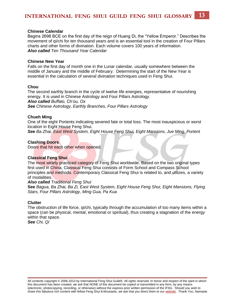#### **Chinese Calendar**

Begins 2698 BCE on the first day of the reign of Huang Di, the "Yellow Emperor." Describes the movement of qi/chi for ten thousand years and is an essential tool in the creation of Four Pillars charts and other forms of divination. Each volume covers 100 years of information. *Also called Ten Thousand Year Calendar*

#### **Chinese New Year**

Falls on the first day of month one in the Lunar calendar, usually somewhere between the middle of January and the middle of February. Determining the start of the New Year is essential in the calculation of several divination techniques used in Feng Shui.

#### **Chou**

The second earthly branch in the cycle of twelve life energies, representative of nourishing energy. It is used in Chinese Astrology and Four Pillars Astrology. *Also called Buffalo, Ch'ou, Ox See Chinese Astrology, Earthly Branches, Four Pillars Astrology*

#### **Chueh Ming**

One of the eight Portents indicating severed fate or total loss. The most inauspicious or worst location in Eight House Feng Shui.

*See Ba Zhai, East West System, Eight House Feng Shui, Eight Mansions, Jue Ming, Portent*

#### **Clashing Doors**

Doors that hit each other when opened.

#### **Classical Feng Shui**

The most widely practiced category of Feng Shui worldwide. Based on the two original types first used in China, Classical Feng Shui consists of Form School and Compass School principles and methods. Contemporary Classical Feng Shui is related to, and utilizes, a variety of modalities.

#### *Also called Traditional Feng Shui*

**See** *Bagua, Ba Zhai, Ba Zi, East West System, Eight House Feng Shui, Eight Mansions, Flying Stars, Four Pillars Astrology, Ming Gua, Pa Kua*

#### **Clutter**

The obstruction of life force, qi/chi, typically through the accumulation of too many items within a space (can be physical, mental, emotional or spiritual), thus creating a stagnation of the energy within that space.

*See Chi, Qi*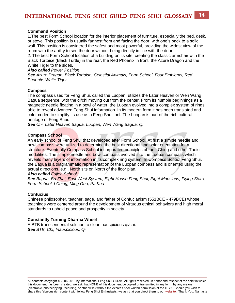#### **Command Position**

1.The best Form School location for the interior placement of furniture, especially the bed, desk, or stove. This position is usually farthest from and facing the door, with one's back to a solid wall. This position is considered the safest and most powerful, providing the widest view of the room with the ability to see the door without being directly in line with the door.

2. The best Form School location of a building on its site, creating the classic armchair with the Black Tortoise (Black Turtle) in the rear, the Red Phoenix in front, the Azure Dragon and the White Tiger to the sides.

#### *Also called Power Position*

*See Azure Dragon, Black Tortoise, Celestial Animals, Form School, Four Emblems, Red Phoenix, White Tiger*

#### **Compass**

The compass used for Feng Shui, called the Luopan, utilizes the Later Heaven or Wen Wang Bagua sequence, with the qi/chi moving out from the center. From its humble beginnings as a magnetic needle floating in a bowl of water, the Luopan evolved into a complex system of rings able to reveal advanced Feng Shui information. In its modern form it has been translated and color coded to simplify its use as a Feng Shui tool. The Luopan is part of the rich cultural heritage of Feng Shui.

*See Chi, Later Heaven Bagua, Luopan, Wen Wang Bagua, Qi*

#### **Compass School**

An early school of Feng Shui that developed after Form School. At first a simple needle and bowl compass were utilized to determine the best directional and solar orientation for a structure. Eventually Compass School incorporated principles of the I Ching and other Taoist modalities. The simple needle and bowl compass evolved into the Luopan compass which reveals many layers of information in its complex ring system. In Compass School Feng Shui, the Bagua is a diagrammatic representation of the Luopan compass and is oriented using the actual directions. e.g., North sits on North of the floor plan.

#### *Also called Fujien School*

*See Bagua, Ba Zhai, East West System, Eight House Feng Shui, Eight Mansions, Flying Stars, Form School, I Ching, Ming Gua, Pa Kua* 

#### **Confucius**

Chinese philosopher, teacher, sage, and father of Confucianism (551BCE - 479BCE) whose teachings were centered around the development of virtuous ethical behaviors and high moral standards to uphold peace and prosperity in society.

#### **Constantly Turning Dharma Wheel**

A BTB transcendental solution to clear inauspicious qi/chi. *See BTB, Chi, Inauspicious, Qi*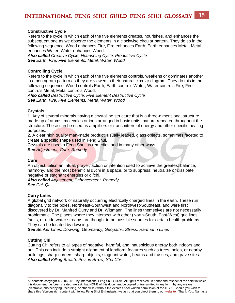#### **Constructive Cycle**

Refers to the cycle in which each of the five elements creates, nourishes, and enhances the subsequent one as we observe the elements in a clockwise circular pattern. They do so in the following sequence: Wood enhances Fire, Fire enhances Earth, Earth enhances Metal, Metal enhances Water, Water enhances Wood.

*Also called Creative Cycle, Nourishing Cycle, Productive Cycle See Earth, Fire, Five Elements, Metal, Water, Wood*

#### **Controlling Cycle**

Refers to the cycle in which each of the five elements controls, weakens or dominates another in a pentagram pattern as they are viewed in their natural circular diagram. They do this in the following sequence: Wood controls Earth, Earth controls Water, Water controls Fire, Fire controls Metal, Metal controls Wood.

*Also called Destructive Cycle, Five Element Destructive Cycle See Earth, Fire, Five Elements, Metal, Water, Wood*

#### **Crystals**

1. Any of several minerals having a crystalline structure that is a three-dimensional structure made up of atoms, molecules or ions arranged in basic units that are repeated throughout the structure. These can be used as amplifiers or transmitters of energy and other specific healing purposes.

2. A clear high quality man-made product, usually leaded, glass objects, sometimes faceted to create a specific shape used in Feng Shui.

Crystals are used in Feng Shui as remedies and in many other ways. *See Adjustment, Cure, Remedy*

#### **Cure**

An object, talisman, ritual, prayer, action or intention used to achieve the greatest balance, harmony, and the most beneficial qi/chi in a space, or to suppress, neutralize or dissipate negative or stagnant energies or qi/chi.

*Also called Adjustment, Enhancement, Remedy See Chi, Qi*

#### **Curry Lines**

A global grid network of naturally occurring electrically charged lines in the earth. These run diagonally to the poles, Northeast-Southwest and Northwest-Southeast, and were first discovered by Dr. Manfred Curry and Dr. Wittmann. The lines themselves are not necessarily problematic. The places where they intersect with other (North-South, East-West) grid lines, faults, or underwater streams are thought to be possible sources for certain health problems. They can be located by dowsing.

*See Benker Lines, Dowsing, Geomancy, Geopathic Stress, Hartmann Lines*

#### **Cutting Chi**

Cutting Chi refers to all types of negative, harmful, and inauspicious energy both indoors and out. This can include a straight alignment of landform features such as trees, poles, or nearby buildings, sharp corners, sharp objects, stagnant water, beams and trusses, and grave sites. *Also called Killing Breath, Poison Arrow, Sha Chi*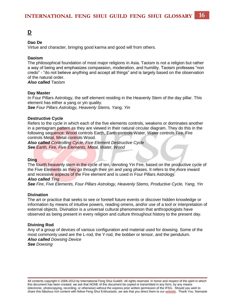#### <span id="page-16-0"></span>**Dao De**

Virtue and character, bringing good karma and good will from others.

#### **Daoism**

The philosophical foundation of most major religions in Asia. Taoism is not a religion but rather a way of being and emphasizes compassion, moderation, and humility. Taoism professes "non credo" - "do not believe anything and accept all things" and is largely based on the observation of the natural order.

*Also called Taoism*

#### **Day Master**

In Four Pillars Astrology, the self element residing in the Heavenly Stem of the day pillar. This element has either a yang or yin quality.

*See Four Pillars Astrology, Heavenly Stems, Yang, Yin*

#### **Destructive Cycle**

Refers to the cycle in which each of the five elements controls, weakens or dominates another in a pentagram pattern as they are viewed in their natural circular diagram. They do this in the following sequence: Wood controls Earth, Earth controls Water, Water controls Fire, Fire controls Metal, Metal controls Wood.

*Also called Controlling Cycle, Five Element Destructive Cycle See Earth, Fire, Five Elements, Metal, Water, Wood*

#### **Ding**

The fourth heavenly stem in the cycle of ten, denoting Yin Fire, based on the productive cycle of the Five Elements as they go through their yin and yang phases. It refers to the more inward and recessive aspects of the Fire element and is used in Four Pillars Astrology.

#### *Also called Ting*

*See Fire, Five Elements, Four Pillars Astrology, Heavenly Stems, Productive Cycle, Yang, Yin*

#### **Divination**

The art or practice that seeks to see or foretell future events or discover hidden knowledge or information by means of intuitive powers, reading omens, and/or use of a tool or interpretation of external objects. Divination is a universal cultural phenomenon that anthropologists have observed as being present in every religion and culture throughout history to the present day.

#### **Divining Rod**

Any of a group of devices of various configuration and material used for dowsing. Some of the most commonly used are the L-rod, the Y-rod, the bobber or tensor, and the pendulum. *Also called Dowsing Device See Dowsing*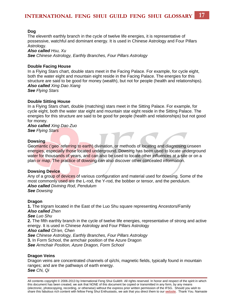#### **Dog**

The eleventh earthly branch in the cycle of twelve life energies, it is representative of possessive, watchful and dominant energy. It is used in Chinese Astrology and Four Pillars Astrology.

*Also called Hsu, Xu See Chinese Astrology, Earthly Branches, Four Pillars Astrology*

#### **Double Facing House**

In a Flying Stars chart, double stars meet in the Facing Palace. For example, for cycle eight, both the water eight and mountain eight reside in the Facing Palace. The energies for this structure are said to be good for money (wealth), but not for people (health and relationships). *Also called Xing Dao Xiang* 

*See Flying Stars*

#### **Double Sitting House**

In a Flying Stars chart, double (matching) stars meet in the Sitting Palace. For example, for cycle eight, both the water star eight and mountain star eight reside in the Sitting Palace. The energies for this structure are said to be good for people (health and relationships) but not good for money.

*Also called Xing Dao Zuo See Flying Stars*

#### **Dowsing**

Geomantic ('geo' referring to earth) divination, or methods of locating and diagnosing unseen energies, especially those located underground. Dowsing has been used to locate underground water for thousands of years, and can also be used to locate other influences at a site or on a plan or map. The practice of dowsing can also discover other concealed information.

#### **Dowsing Device**

Any of a group of devices of various configuration and material used for dowsing. Some of the most commonly used are the L-rod, the Y-rod, the bobber or tensor, and the pendulum. *Also called Divining Rod*, *Pendulum See Dowsing*

#### **Dragon**

**1.** The trigram located in the East of the Luo Shu square representing Ancestors/Family *Also called Zhen See Luo Shu* **2.** The fifth earthly branch in the cycle of twelve life energies, representative of strong and active energy. It is used in Chinese Astrology and Four Pillars Astrology *Also called Ch'en, Chen See Chinese Astrology, Earthly Branches, Four Pillars Astrology* **3.** In Form School, the armchair position of the Azure Dragon *See Armchair Position, Azure Dragon, Form School*

#### **Dragon Veins**

Dragon veins are concentrated channels of qi/chi, magnetic fields, typically found in mountain ranges; and are the pathways of earth energy. *See Chi, Qi*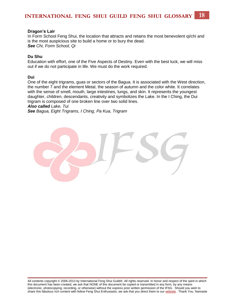#### **Dragon's Lair**

In Form School Feng Shui, the location that attracts and retains the most benevolent qi/chi and is the most auspicious site to build a home or to bury the dead. *See Chi, Form School, Qi*

#### **Du Shu**

Education with effort, one of the Five Aspects of Destiny. Even with the best luck, we will miss out if we do not participate in life. We must do the work required.

**Dui**

One of the eight trigrams, guas or sectors of the Bagua. It is associated with the West direction, the number 7 and the element Metal, the season of autumn and the color white. It correlates with the sense of smell, mouth, large intestines, lungs, and skin. It represents the youngest daughter, children, descendants, creativity and symbolizes the Lake. In the I Ching, the Dui trigram is composed of one broken line over two solid lines. *Also called Lake, Tui* 

*See Bagua, Eight Trigrams, I Ching, Pa Kua, Trigram*

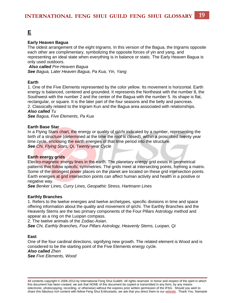### <span id="page-19-0"></span>**[E](#page-19-0)**

#### **Early Heaven Bagua**

The oldest arrangement of the eight trigrams. In this version of the Bagua, the trigrams opposite each other are complimentary, symbolizing the opposite forces of yin and yang, and representing an ideal state when everything is in balance or static. The Early Heaven Bagua is only used outdoors.

*Also called Pre-Heaven Bagua See Bagua, Later Heaven Bagua, Pa Kua, Yin, Yang* 

#### **Earth**

1. One of the Five Elements represented by the color yellow. Its movement is horizontal. Earth energy is balanced, centered and grounded. It represents the Northeast with the number 8, the Southwest with the number 2 and the center of the Bagua with the number 5. Its shape is flat, rectangular, or square. It is the later part of the four seasons and the belly and pancreas. 2. Classically related to the trigram Kun and the Bagua area associated with relationships.

*Also called Tu*

*See Bagua, Five Elements, Pa Kua*

#### **Earth Base Star**

In a Flying Stars chart, the energy or quality of gi/chi indicated by a number, representing the birth of a structure (determined at the time the roof is closed), within a proscribed twenty year time cycle, enclosing the earth energies of that time period into the structure. *See Chi, Flying Stars, Qi, Twenty-year Cycle*

#### **Earth energy grids**

Electro-magnetic energy lines in the earth. The planetary energy grid exists in geometrical patterns that follow specific symmetries. The grids meet at intersecting points, forming a matrix. Some of the strongest power places on the planet are located on these grid intersection points. Earth energies at grid intersection points can affect human activity and health in a positive or negative way.

*See Benker Lines, Curry Lines, Geopathic Stress, Hartmann Lines* 

#### **Earthly Branches**

1. Refers to the twelve energies and twelve archetypes, specific divisions in time and space offering information about the quality and movement of qi/chi. The Earthly Branches and the Heavenly Stems are the two primary components of the Four Pillars Astrology method and appear as a ring on the Luopan compass.

2. The twelve animals of the Zodiac-Asian.

*See Chi, Earthly Branches, Four Pillars Astrology, Heavenly Stems, Luopan, Qi*

#### **East**

One of the four cardinal directions, signifying new growth. The related element is Wood and is considered to be the starting point of the Five Elements energy cycle.

*Also called Zhen* 

*See Five Elements, Wood*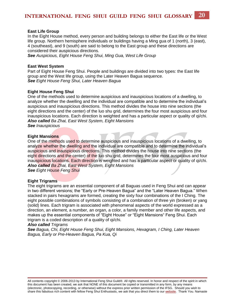#### **East Life Group**

In the Eight House method, every person and building belongs to either the East life or the West life group. Northern hemisphere individuals or buildings having a Ming gua of 1 (north), 3 (east), 4 (southeast), and 9 (south) are said to belong to the East group and these directions are considered their auspicious directions.

*See Auspicious, Eight House Feng Shui, Ming Gua, West Life Group*

#### **East West System**

Part of Eight House Feng Shui. People and buildings are divided into two types: the East life group and the West life group, using the Later Heaven Bagua sequence. *See Eight House Feng Shui, Later Heaven Bagua*

#### **Eight House Feng Shui**

One of the methods used to determine auspicious and inauspicious locations of a dwelling, to analyze whether the dwelling and the individual are compatible and to determine the individual's auspicious and inauspicious directions. This method divides the house into nine sections (the eight directions and the center) of the luo shu grid, determines the four most auspicious and four inauspicious locations. Each direction is weighted and has a particular aspect or quality of qi/chi. *Also called Ba Zhai, East West System, Eight Mansions*

*See Inauspicious*

#### **Eight Mansions**

One of the methods used to determine auspicious and inauspicious locations of a dwelling, to analyze whether the dwelling and the individual are compatible and to determine the individual's auspicious and inauspicious directions. This method divides the house into nine sections (the eight directions and the center) of the luo shu grid, determines the four most auspicious and four inauspicious locations. Each direction is weighted and has a particular aspect or quality of qi/chi. *Also called Ba Zhai, East West System, Eight Mansions See Eight House Feng Shui* 

#### **Eight Trigrams**

The eight trigrams are an essential component of all Baguas used in Feng Shui and can appear in two different versions; the "Early or Pre-Heaven Bagua" and the "Later Heaven Bagua." When stacked in pairs hexagrams are formed, creating the sixty four combinations of the I Ching. The eight possible combinations of symbols consisting of a combination of three yin (broken) or yang (solid) lines. Each trigram is associated with phenomenal aspects of the world expressed as a direction, an element, a number, an organ, a color, a family member and other life aspects, and makes up the essential components of "Eight House" or "Eight Mansions" Feng Shui. Each trigram is a coded description of a quality of qi/chi.

#### *Also called Trigrams*

*See Bagua, Chi, Eight House Feng Shui, Eight Mansions, Hexagram, I Ching, Later Heaven Bagua, Early or Pre-Heaven Bagua, Pa Kua, Qi*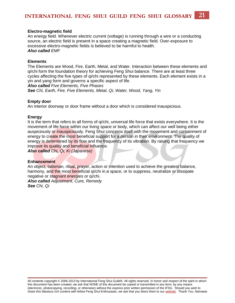#### **Electro-magnetic field**

An energy field. Whenever electric current (voltage) is running through a wire or a conducting source, an electric field is present in a space creating a magnetic field. Over-exposure to excessive electro-magnetic fields is believed to be harmful to health. *Also called EMF*

#### **Elements**

The Elements are Wood, Fire, Earth, Metal, and Water. Interaction between these elements and qi/chi form the foundation theory for achieving Feng Shui balance. There are at least three cycles affecting the five types of qi/chi represented by these elements. Each element exists in a yin and yang form and governs a specific aspect of life.

*Also called Five Elements, Five Phases*

*See Chi, Earth, Fire, Five Elements, Metal, Qi, Water, Wood, Yang, Yin*

#### **Empty door**

An interior doorway or door frame without a door which is considered inauspicious.

#### **Energy**

It is the term that refers to all forms of qi/chi, universal life force that exists everywhere. It is the movement of life force within our living space or body, which can affect our well being either auspiciously or inauspiciously. Feng Shui concerns itself with the movement and containment of energy to create the most beneficial support for a person in their environment. The quality of energy is determined by its flow and the frequency of its vibration. By raising that frequency we improve its quality and beneficial influence.

*Also called Chi, Qi, Ki (Japanese)*

#### **Enhancement**

An object, talisman, ritual, prayer, action or intention used to achieve the greatest balance, harmony, and the most beneficial qi/chi in a space, or to suppress, neutralize or dissipate negative or stagnant energies or qi/chi.

*Also called Adjustment, Cure, Remedy See Chi, Qi*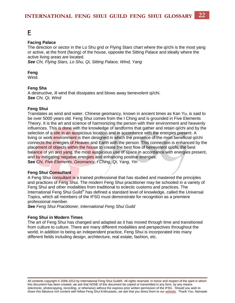### <span id="page-22-0"></span>**[F](#page-22-0)**

#### **Facing Palace**

The direction or sector in the [Lo Shu](http://ifsguild.org/Glossary/Glossarylist.php?term=luo%20shu) grid or Flying Stars chart where the qi/chi is the most yang or active, at the front (facing) of the house, opposite the Sitting Palace and ideally where the active living areas are located.

*See Chi, Flying Stars, Lo Shu, Qi, Sitting Palace, Wind, Yang*

#### **Feng**

Wind.

#### **Feng Sha**

A destructive, ill wind that dissipates and blows away benevolent qi/chi. *See Chi, Qi, Wind*

#### **Feng Shui**

Translates as wind and water. Chinese geomancy, known in ancient times as Kan Yu, is said to be over 5000 years old. Feng Shui comes from the I Ching and is grounded in Five Elements Theory. It is the art and science of harmonizing the person with their environment and heavenly influences. This is done with the knowledge of landforms that gather and retain qi/chi and by the selection of a site in an auspicious location and in accordance with the energies present. A living or work environment is then designed in which the presence of the most beneficial qi/chi connects the energies of Heaven and Earth with the person. This connection is enhanced by the placement of objects within the house to create the best flow of benevolent qi/chi, the best balance of yin and yang, the most auspicious use of space in accordance with energies present, and by mitigating negative energies and enhancing positive energies. **See** *Chi, Five Elements, Geomancy, I Ching, Qi, Yang, Yin*

#### **Feng Shui Consultant**

A Feng Shui consultant is a trained professional that has studied and mastered the principles and practices of Feng Shui. The modern Feng Shui practitioner may be schooled in a variety of Feng Shui and other modalities from traditional to eclectic customs and practices. The International Feng Shui Guild® has defined a standard level of knowledge, called the Universal Topics, which all members of the IFSG must demonstrate for recognition as a premiere professional member.

*See Feng Shui Practitioner, International Feng Shui Guild* 

#### **Feng Shui in Modern Times**

The art of Feng Shui has changed and adapted as it has moved through time and transitioned from culture to culture. There are many different modalities and perspectives throughout the world; in addition to being an independent practice, Feng Shui is incorporated into many different fields including design, architecture, real estate, fashion, etc.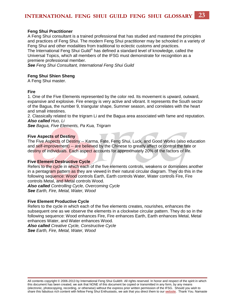#### **Feng Shui Practitioner**

A Feng Shui consultant is a trained professional that has studied and mastered the principles and practices of Feng Shui. The modern Feng Shui practitioner may be schooled in a variety of Feng Shui and other modalities from traditional to eclectic customs and practices. The International Feng Shui Guild® has defined a standard level of knowledge, called the

Universal Topics, which all members of the IFSG must demonstrate for recognition as a premiere professional member.

*See Feng Shui Consultant, International Feng Shui Guild*

#### **Feng Shui Shien Sheng**

A Feng Shui master.

#### **Fire**

1. One of the Five Elements represented by the color red. Its movement is upward, outward, expansive and explosive. Fire energy is very active and vibrant. It represents the South sector of the Bagua, the number 9, triangular shape, Summer season, and correlates with the heart and small intestines.

2. Classically related to the trigram Li and the Bagua area associated with fame and reputation. *Also called Huo, Li* 

*See Bagua, Five Elements, Pa Kua, Trigram*

#### **Five Aspects of Destiny**

The Five Aspects of Destiny -- Karma, Fate, Feng Shui, Luck, and Good Works (also education and self-improvement) -- are believed by the Chinese to greatly affect or control the fate or destiny of individuals. Each aspect accounts for approximately 20% of the factors of life.

#### **Five Element Destructive Cycle**

Refers to the cycle in which each of the five elements controls, weakens or dominates another in a pentagram pattern as they are viewed in their natural circular diagram. They do this in the following sequence: Wood controls Earth, Earth controls Water, Water controls Fire, Fire controls Metal, and Metal controls Wood.

*Also called Controlling Cycle, Overcoming Cycle See Earth, Fire, Metal, Water, Wood*

#### **Five Element Productive Cycle**

Refers to the cycle in which each of the five elements creates, nourishes, enhances the subsequent one as we observe the elements in a clockwise circular pattern. They do so in the following sequence: Wood enhances Fire, Fire enhances Earth, Earth enhances Metal, Metal enhances Water, and Water enhances Wood.

*Also called Creative Cycle, Constructive Cycle See Earth, Fire, Metal, Water, Wood*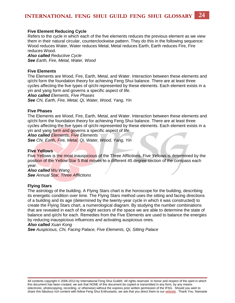#### **Five Element Reducing Cycle**

Refers to the cycle in which each of the five elements reduces the previous element as we view them in their natural circular, counterclockwise pattern. They do this in the following sequence: Wood reduces Water, Water reduces Metal, Metal reduces Earth, Earth reduces Fire, Fire reduces Wood.

*Also called Reductive Cycle See Earth, Fire, Metal, Water, Wood*

#### **Five Elements**

The Elements are Wood, Fire, Earth, Metal, and Water. Interaction between these elements and qi/chi form the foundation theory for achieving Feng Shui balance. There are at least three cycles affecting the five types of qi/chi represented by these elements. Each element exists in a yin and yang form and governs a specific aspect of life.

*Also called Elements, Five Phases See Chi, Earth, Fire, Metal, Qi, Water, Wood, Yang, Yin*

#### **Five Phases**

The Elements are Wood, Fire, Earth, Metal, and Water. Interaction between these elements and qi/chi form the foundation theory for achieving Feng Shui balance. There are at least three cycles affecting the five types of qi/chi represented by these elements. Each element exists in a yin and yang form and governs a specific aspect of life.

*Also called Elements, Five Elements*

*See Chi, Earth, Fire, Metal, Qi, Water, Wood, Yang, Yin*

#### **Five Yellows**

Five Yellows is the most inauspicious of the Three Afflictions. Five Yellows is determined by the position of the Yellow Star 5 that moves to a different 45 degree section of the compass each year.

*Also called Wu Wang See Annual Star, Three Afflictions*

#### **Flying Stars**

The astrology of the building. A Flying Stars chart is the horoscope for the building, describing its energetic condition over time. The Flying Stars method uses the sitting and facing directions of a building and its age (determined by the twenty-year cycle in which it was constructed) to create the Flying Stars chart, a numerological diagram. By studying the number combinations that are revealed in each of the eight sectors of the space we are able to determine the state of balance and qi/chi for each. Remedies from the Five Elements are used to balance the energies by reducing inauspicious influences and activating auspicious ones.

#### *Also called Xuan Kong*

*See Auspicious, Chi, Facing Palace, Five Elements, Qi, Sitting Palace*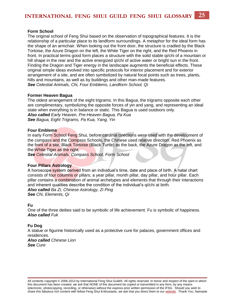#### **Form School**

The original school of Feng Shui based on the observation of topographical features. It is the relationship of a particular place to its landform surroundings. A metaphor for the ideal form has the shape of an armchair. When looking out the front door, the structure is cradled by the Black Tortoise, the Azure Dragon on the left, the White Tiger on the right, and the Red Phoenix in front. In practical terms good form places a structure with the solid stable qi/chi of a mountain or hill shape in the rear and the active energized qi/chi of active water or bright sun in the front. Finding the Dragon and Tiger energy in the landscape augments the beneficial effects. These original simple ideas evolved into specific protocols for interior placement and for exterior arrangement of a site, and are often symbolized by natural focal points such as trees, plants, hills and mountains, as well as by buildings and other man-made features. *See Celestial Animals, Chi, Four Emblems, Landform School, Qi*

#### **Former Heaven Bagua**

The oldest arrangement of the eight trigrams. In this Bagua, the trigrams opposite each other are complimentary, symbolizing the opposite forces of yin and yang, and representing an ideal state when everything is in balance or static. This Bagua is used outdoors only. *Also called Early Heaven, Pre-Heaven Bagua, Pa Kua See Bagua, Eight Trigrams, Pa Kua, Yang, Yin* 

#### **Four Emblems**

In early Form School Feng Shui, before cardinal directions were used with the development of the compass and the Compass Schools, the Chinese used relative direction: Red Phoenix as the front of a site, Black Tortoise (Black Turtle) as the back, the Azure Dragon as the left, and the White Tiger as the right.

*See Celestial Animals, Compass School, Form School* 

#### **Four Pillars Astrology**

A horoscope system derived from an individual's time, date and place of birth. A natal chart consists of four columns or pillars; a year pillar, month pillar, day pillar, and hour pillar. Each pillar contains a combination of animal archetypes and elements that through their interactions and inherent qualities describe the condition of the individual's qi/chi at birth. *Also called Ba Zi, Chinese Astrology, Zi Ping See Chi, Elements, Qi*

#### **Fu**

One of the three deities said to be symbolic of life achievement. Fu is symbolic of happiness. *Also called Fuk*

#### **Fu Dog**

A statue or figurine historically used as a protective cure for palaces, government offices and residences. *Also called Chinese Lion* 

*See Cure*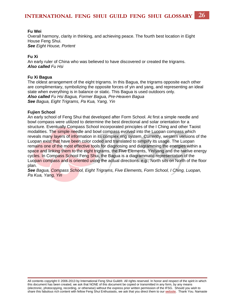#### **Fu Wei**

Overall harmony, clarity in thinking, and achieving peace. The fourth best location in Eight House Feng Shui. *See Eight House, Portent*

#### **Fu Xi**

An early ruler of China who was believed to have discovered or created the trigrams. *Also called Fu Hsi*

#### **Fu Xi Bagua**

The oldest arrangement of the eight trigrams. In this Bagua, the trigrams opposite each other are complimentary, symbolizing the opposite forces of yin and yang, and representing an ideal state when everything is in balance or static. This Bagua is used outdoors only. *Also called Fu Hsi Bagua, Former Bagua, Pre-Heaven Bagua See Bagua, Eight Trigrams, Pa Kua, Yang, Yin* 

#### **Fujien School**

An early school of Feng Shui that developed after Form School. At first a simple needle and bowl compass were utilized to determine the best directional and solar orientation for a structure. Eventually Compass School incorporated principles of the I Ching and other Taoist modalities. The simple needle and bowl compass evolved into the Luopan compass which reveals many layers of information in its complex ring system. Currently, western versions of the Luopan exist that have been color coded and translated to simplify its usage. The Luopan remains one of the most effective tools for diagnosing and diagramming the energies within a space and linking them to the eight trigrams, the Five Elements, Yin/yang and the twelve energy cycles. In Compass School Feng Shui, the Bagua is a diagrammatic representation of the Luopan compass and is oriented using the actual directions. e.g., North sits on North of the floor plan.

*See Bagua, Compass School, Eight Trigrams, Five Elements, Form School, I Ching, Luopan, Pa Kua, Yang, Yin*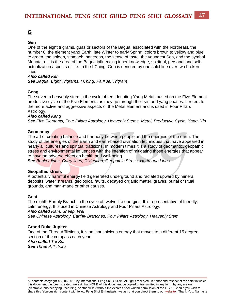### <span id="page-27-0"></span>**[G](#page-27-0)**

#### **Gen**

One of the eight trigrams, guas or sectors of the Bagua, associated with the Northeast, the number 8, the element yang Earth, late Winter to early Spring, colors brown to yellow and blue to green, the spleen, stomach, pancreas, the sense of taste, the youngest Son, and the symbol Mountain. It is the area of the Bagua influencing inner knowledge, spiritual, personal and selfactualization aspects of life. In the I Ching, Gen is denoted by one solid line over two broken lines.

#### *Also called Ken*

*See Bagua, Eight Trigrams, I Ching, Pa Kua, Trigram*

#### **Geng**

The seventh heavenly stem in the cycle of ten, denoting Yang Metal, based on the Five Element productive cycle of the Five Elements as they go through their yin and yang phases. It refers to the more active and aggressive aspects of the Metal element and is used in Four Pillars Astrology.

#### *Also called Keng*

*See Five Elements, Four Pillars Astrology, Heavenly Stems, Metal, Productive Cycle, Yang, Yin*

#### **Geomancy**

The art of creating balance and harmony between people and the energies of the earth. The study of the energies of the Earth and earth-based divination techniques that have appeared in nearly all cultures and spiritual traditions. In modern times it is a study of geomantic, geopathic stress and environmental influences with the intention of mitigating those energies that appear to have an adverse effect on health and well-being.

*See Benker lines, Curry lines, Divination, Geopathic Stress, Hartmann Lines* 

#### **Geopathic stress**

A potentially harmful energy field generated underground and radiated upward by mineral deposits, water streams, geological faults, decayed organic matter, graves, burial or ritual grounds, and man-made or other causes.

#### **Goat**

The eighth Earthly Branch in the cycle of twelve life energies. It is representative of friendly, calm energy. It is used in Chinese Astrology and Four Pillars Astrology. *Also called Ram, Sheep, Wei See Chinese Astrology, Earthly Branches, Four Pillars Astrology, Heavenly Stem*

#### **Grand Duke Jupiter**

One of the Three Afflictions, it is an inauspicious energy that moves to a different 15 degree section of the compass each year.

*Also called Tai Sui See Three Afflictions*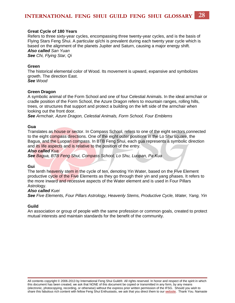#### **Great Cycle of 180 Years**

Refers to three sixty-year cycles, encompassing three twenty-year cycles, and is the basis of Flying Stars Feng Shui. A particular qi/chi is prevalent during each twenty year cycle which is based on the alignment of the planets Jupiter and Saturn, causing a major energy shift. *Also called San Yuan See Chi, Flying Star, Qi* 

#### **Green**

The historical elemental color of Wood. Its movement is upward, expansive and symbolizes growth. The direction East. *See Wood*

#### **Green Dragon**

A symbolic animal of the Form School and one of four Celestial Animals. In the ideal armchair or cradle position of the Form School, the Azure Dragon refers to mountain ranges, rolling hills, trees, or structures that support and protect a building on the left side of the armchair when looking out the front door.

*See Armchair, Azure Dragon, Celestial Animals, Form School, Four Emblems* 

#### **Gua**

Translates as house or sector. In Compass School, refers to one of the eight sectors connected to the eight compass directions. One of the eight outer positions in the Lo Shu square, the Bagua, and the Luopan compass. In BTB Feng Shui, each gua represents a symbolic direction and its life aspects and is relative to the position of the entry.

#### *Also called Kua*

*See Bagua, BTB Feng Shui, Compass School, Lo Shu, Luopan, Pa Kua*

#### **Gui**

The tenth heavenly stem in the cycle of ten, denoting Yin Water, based on the Five Element productive cycle of the Five Elements as they go through their yin and yang phases. It refers to the more inward and recessive aspects of the Water element and is used in Four Pillars Astrology.

#### *Also called Kuei*

*See Five Elements, Four Pillars Astrology, Heavenly Stems, Productive Cycle, Water, Yang, Yin*

#### **Guild**

An association or group of people with the same profession or common goals, created to protect mutual interests and maintain standards for the benefit of the community.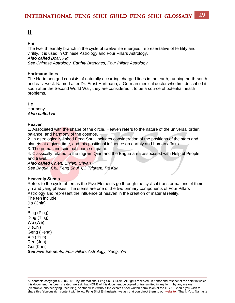#### <span id="page-29-0"></span>**Hai**

The twelfth earthly branch in the cycle of twelve life energies, representative of fertility and virility. It is used in Chinese Astrology and Four Pillars Astrology. *Also called Boar, Pig See Chinese Astrology, Earthly Branches, Four Pillars Astrology*

#### **Hartmann lines**

The Hartmann grid consists of naturally occurring charged lines in the earth, running north-south and east-west. Named after Dr. Ernst Hartmann, a German medical doctor who first described it soon after the Second World War, they are considered it to be a source of potential health problems.

**He**

Harmony. *Also called Ho*

#### **Heaven**

1. Associated with the shape of the circle, Heaven refers to the nature of the universal order, balance, and harmony of the cosmos.

2. In astrologically-linked Feng Shui, includes consideration of the positions of the stars and planets at a given time, and this positional influence on earthly and human affairs.

3. The primal and spiritual source of qi/chi.

4. Classically related to the trigram Qian and the Bagua area associated with Helpful People and travel.

*Also called Chien, Ch'ien, Chyan See Bagua, Chi, Feng Shui, Qi, Trigram, Pa Kua*

#### **Heavenly Stems**

Refers to the cycle of ten as the Five Elements go through the cyclical transformations of their yin and yang phases. The stems are one of the two primary components of Four Pillars Astrology and represent the influence of heaven in the creation of material reality. The ten include:

Jia (Chia) Yi Bing (Ping) Ding (Ting) Wu (We) Ji (Chi) Geng (Keng) Xin (Hsin) Ren (Jen) Gui (Kuei) *See Five Elements, Four Pillars Astrology, Yang, Yin*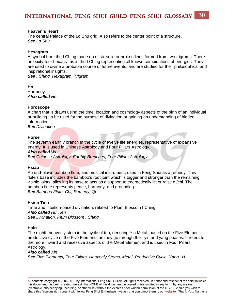#### **Heaven's Heart**

The central Palace of the Lo Shu grid. Also refers to the center point of a structure. *See Lo Shu*

#### **Hexagram**

A symbol from the I Ching made up of six solid or broken lines formed from two trigrams. There are sixty-four hexagrams in the I Ching representing all known combinations of energies. They are used to divine a probable course of future events, and are studied for their philosophical and inspirational insights.

*See I Ching, Hexagram, Trigram*

**Ho** Harmony. *Also called He*

#### **Horoscope**

A chart that is drawn using the time, location and cosmology aspects of the birth of an individual or building, to be used for the purpose of divination or gaining an understanding of hidden information.

*See Divination*

#### **Horse**

The seventh earthly branch in the cycle of twelve life energies, representative of expansive energy. It is used in Chinese Astrology and Four Pillars Astrology.

*Also called Wu*

*See Chinese Astrology, Earthly Branches, Four Pillars Astrology*

#### **Hsiao**

An end-blown bamboo flute, and musical instrument, used in Feng Shui as a remedy. This flute's base includes the bamboo's root joint which is bigger and stronger than the remaining, visible joints, allowing its base to acts as a support to energetically lift or raise qi/chi. The bamboo flute represents peace, harmony, and grounding. *See Bamboo Flute, Chi, Remedy, Qi* 

#### **Hsien Tien**

Time and intuition-based divination, related to Plum Blossom I Ching. *Also called Hu Tien See Divination, Plum Blossom I Ching*

#### **Hsin**

The eighth heavenly stem in the cycle of ten, denoting Yin Metal, based on the Five Element productive cycle of the Five Elements as they go through their yin and yang phases. It refers to the more inward and recessive aspects of the Metal Element and is used in Four Pillars Astrology.

#### *Also called Xin*

*See Five Elements, Four Pillars, Heavenly Stems, Metal, Productive Cycle, Yang, Yi*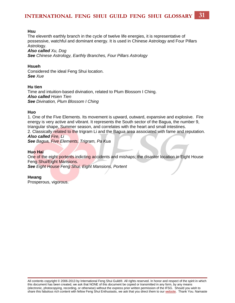#### **Hsu**

The eleventh earthly branch in the cycle of twelve life energies, it is representative of possessive, watchful and dominant energy. It is used in Chinese Astrology and Four Pillars Astrology.

*Also called Xu, Dog*

*See Chinese Astrology, Earthly Branches, Four Pillars Astrology*

#### **Hsueh**

Considered the ideal Feng Shui location. *See Xue*

#### **Hu tien**

Time and intuition-based divination, related to Plum Blossom I Ching. *Also called Hsien Tien See Divination, Plum Blossom I Ching* 

#### **Huo**

1. One of the Five Elements. Its movement is upward, outward, expansive and explosive. Fire energy is very active and vibrant. It represents the South sector of the Bagua, the number 9, triangular shape, Summer season, and correlates with the heart and small intestines.

2. Classically related to the trigram Li and the Bagua area associated with fame and reputation. *Also called Fire, Li*

*See Bagua, Five Elements, Trigram, Pa Kua*

#### **Huo Hai**

One of the eight portents indicting accidents and mishaps; the disaster location in Eight House Feng Shui/Eight Mansions.

*See Eight House Feng Shui, Eight Mansions, Portent*

#### **Hwang**

Prosperous, vigorous.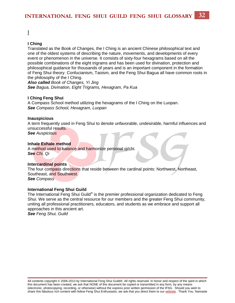<span id="page-32-0"></span>[I](#page-32-0)

#### **I Ching**

Translated as the Book of Changes, the I Ching is an ancient Chinese philosophical text and one of the oldest systems of describing the nature, movements, and developments of every event or phenomenon in the universe. It consists of sixty-four hexagrams based on all the possible combinations of the eight trigrams and has been used for divination, protection and philosophical guidance for thousands of years and is an important component in the formation of Feng Shui theory. Confucianism, Taoism, and the Feng Shui Bagua all have common roots in the philosophy of the I Ching.

*Also called Book of Changes, Yi Jing See Bagua, Divination, Eight Trigrams, Hexagram, Pa Kua*

#### **I Ching Feng Shui**

A Compass School method utilizing the hexagrams of the I Ching on the Luopan. *See Compass School, Hexagram, Luopan*

#### **Inauspicious**

A term frequently used in Feng Shui to denote unfavorable, undesirable, harmful influences and unsuccessful results.

*See Auspicious*

#### **Inhale Exhale method**

A method used to balance and harmonize personal qi/chi. *See Chi, Qi*

#### **Intercardinal points**

The four compass directions that reside between the cardinal points: Northwest, Northeast, Southeast, and Southwest. *See Compass*

#### **International Feng Shui Guild**

The International Feng Shui Guild® is the premier professional organization dedicated to Feng Shui. We serve as the central resource for our members and the greater Feng Shui community, uniting all professional practitioners, educators, and students as we embrace and support all approaches in this ancient art.

*See Feng Shui, Guild*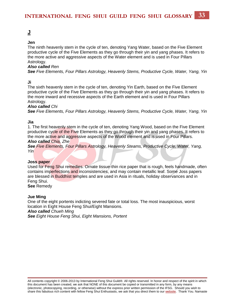<span id="page-33-0"></span>**[J](#page-33-0)**

#### **Jen**

The ninth heavenly stem in the cycle of ten, denoting Yang Water, based on the Five Element productive cycle of the Five Elements as they go through their yin and yang phases. It refers to the more active and aggressive aspects of the Water element and is used in Four Pillars Astrology.

#### *Also called Ren*

*See Five Elements, Four Pillars Astrology, Heavenly Stems, Productive Cycle, Water, Yang, Yin*

#### **Ji**

The sixth heavenly stem in the cycle of ten, denoting Yin Earth, based on the Five Element productive cycle of the Five Elements as they go through their yin and yang phases. It refers to the more inward and recessive aspects of the Earth element and is used in Four Pillars Astrology.

#### *Also called Chi*

*See Five Elements, Four Pillars Astrology, Heavenly Stems, Productive Cycle, Water, Yang, Yin*

#### **Jia**

1. The first heavenly stem in the cycle of ten, denoting Yang Wood, based on the Five Element productive cycle of the Five Elements as they go through their yin and yang phases. It refers to the more active and aggressive aspects of the Wood element and is used in Four Pillars.

#### *Also called Chia, Zhe*

*See Five Elements, Four Pillars Astrology, Heavenly Steams, Productive Cycle, Water, Yang, Yin*

#### **Joss paper**

Used for Feng Shui remedies. Ornate tissue-thin rice paper that is rough, feels handmade, often contains imperfections and inconsistencies, and may contain metallic leaf. Some Joss papers are blessed in Buddhist temples and are used in Asia in rituals, holiday observances and in Feng Shui.

**See** Remedy

#### **Jue Ming**

One of the eight portents indicting severed fate or total loss. The most inauspicious, worst location in Eight House Feng Shui/Eight Mansions. *Also called Chueh Ming See Eight House Feng Shui, Eight Mansions, Portent*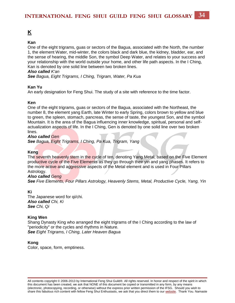#### <span id="page-34-0"></span>**Kan**

One of the eight trigrams, guas or sectors of the Bagua, associated with the North, the number 1, the element Water, mid-winter, the colors black and dark blue, the kidney, bladder, ear, and the sense of hearing, the middle Son, the symbol Deep Water, and relates to your success and your relationship with the world outside your home, and other life path aspects. In the I Ching, Kan is denoted by one solid line between two broken lines.

#### *Also called K'an*

*See Bagua, Eight Trigrams, I Ching, Trigram, Water, Pa Kua*

#### **Kan Yu**

An early designation for Feng Shui. The study of a site with reference to the time factor.

#### **Ken**

One of the eight trigrams, guas or sectors of the Bagua, associated with the Northeast, the number 8, the element yang Earth, late Winter to early Spring, colors brown to yellow and blue to green, the spleen, stomach, pancreas, the sense of taste, the youngest Son, and the symbol Mountain. It is the area of the Bagua influencing inner knowledge, spiritual, personal and selfactualization aspects of life. In the I Ching, Gen is denoted by one solid line over two broken lines.

#### *Also called Gen*

*See Bagua, Eight Trigrams, I Ching, Pa Kua, Trigram, Yang*

#### **Keng**

The seventh heavenly stem in the cycle of ten, denoting Yang Metal, based on the Five Element productive cycle of the Five Elements as they go through their yin and yang phases. It refers to the more active and aggressive aspects of the Metal element and is used in Four Pillars Astrology.

#### *Also called Geng*

*See Five Elements, Four Pillars Astrology, Heavenly Stems, Metal, Productive Cycle, Yang, Yin*

#### **Ki**

The Japanese word for qi/chi. *Also called Chi, Ki See Chi, Qi* 

#### **King Wen**

Shang Dynasty King who arranged the eight trigrams of the I Ching according to the law of "periodicity" or the cycles and rhythms in Nature. *See Eight Trigrams, I Ching, Later Heaven Bagua* 

#### **Kong**

Color, space, form, emptiness.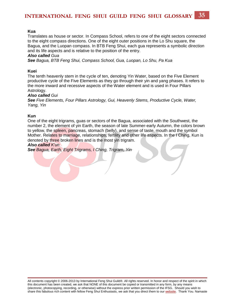#### **Kua**

Translates as house or sector. In Compass School, refers to one of the eight sectors connected to the eight compass directions. One of the eight outer positions in the Lo Shu square, the Bagua, and the Luopan compass. In BTB Feng Shui, each gua represents a symbolic direction and its life aspects and is relative to the position of the entry.

#### *Also called Gua*

*See Bagua, BTB Feng Shui, Compass School, Gua, Luopan, Lo Shu, Pa Kua*

#### **Kuei**

The tenth heavenly stem in the cycle of ten, denoting Yin Water, based on the Five Element productive cycle of the Five Elements as they go through their yin and yang phases. It refers to the more inward and recessive aspects of the Water element and is used in Four Pillars Astrology.

#### *Also called Gui*

*See Five Elements, Four Pillars Astrology, Gui, Heavenly Stems, Productive Cycle, Water, Yang, Yin*

#### **Kun**

One of the eight trigrams, guas or sectors of the Bagua, associated with the Southwest, the number 2, the element of yin Earth, the season of late Summer-early Autumn, the colors brown to yellow, the spleen, pancreas, stomach (belly), and sense of taste, mouth and the symbol Mother. Relates to marriage, relationships, fertility and other life aspects. In the I Ching, Kun is denoted by three broken lines and is the most yin trigram.

#### *Also called K'un*

*See Bagua, Earth, Eight Trigrams, I Ching, Trigram, Yin*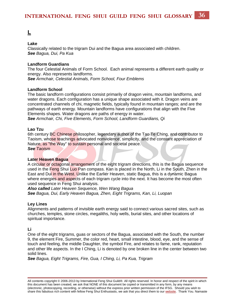### <span id="page-36-0"></span>**[L](#page-36-0)**

#### **Lake**

Classically related to the trigram Dui and the Bagua area associated with children. *See Bagua, Dui, Pa Kua*

#### **Landform Guardians**

The four Celestial Animals of Form School. Each animal represents a different earth quality or energy. Also represents landforms.

*See Armchair, Celestial Animals, Form School, Four Emblems*

#### **Landform School**

The basic landform configurations consist primarily of dragon veins, mountain landforms, and water dragons. Each configuration has a unique shape associated with it. Dragon veins are concentrated channels of chi, magnetic fields, typically found in mountain ranges; and are the pathways of earth energy. Mountain landforms have configurations that align with the Five Elements shapes. Water dragons are paths of energy in water.

*See Armchair, Chi, Five Elements, Form School, Landform Guardians, Qi*

#### **Lao Tzu**

6th century BC Chinese philosopher, legendary author of the Tao Te Ching, and contributor to Taoism, whose teachings advocated nonviolence, simplicity, and the constant appreciation of Nature, as "the Way" to sustain personal and societal peace. *See Taoism*

#### **Later Heaven Bagua**

A circular or octagonal arrangement of the eight trigram directions, this is the Bagua sequence used in the Feng Shui Luo Pan compass. Kan is placed in the North, Li in the South, Zhen in the East and Dui in the West. Unlike the Earlier Heaven, static Bagua, this is a dynamic Bagua where energies and aspects of each trigram cycle into the next. It has become the most often used sequence in Feng Shui analysis.

*Also called Later Heaven Sequence, Wen Wang Bagua See Bagua, Dui, Early Heaven Bagua, Zhen, Eight Trigrams, Kan, Li, Luopan*

#### **Ley Lines**

Alignments and patterns of invisible earth energy said to connect various sacred sites, such as churches, temples, stone circles, megaliths, holy wells, burial sites, and other locations of spiritual importance.

#### **Li**

One of the eight trigrams, guas or sectors of the Bagua, associated with the South, the number 9, the element Fire, Summer, the color red, heart, small intestine, blood, eye, and the sense of touch and feeling, the middle Daughter, the symbol Fire, and relates to fame, rank, reputation and other life aspects. In the I Ching, Li is denoted by one broken line in the center between two solid lines.

*See Bagua, Eight Trigrams, Fire, Gua, I Ching, Li, Pa Kua, Trigram*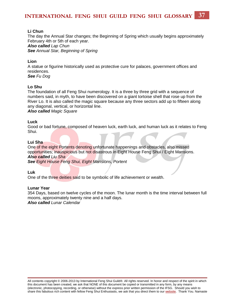#### **Li Chun**

The day the Annual Star changes; the Beginning of Spring which usually begins approximately February 4th or 5th of each year. *Also called Lap Chun See Annual Star, Beginning of Spring*

#### **Lion**

A statue or figurine historically used as protective cure for palaces, government offices and residences.

*See Fu Dog* 

#### **Lo Shu**

The foundation of all Feng Shui numerology. It is a three by three grid with a sequence of numbers said, in myth, to have been discovered on a giant tortoise shell that rose up from the River Lo. It is also called the magic square because any three sectors add up to fifteen along any diagonal, vertical, or horizontal line.

*Also called Magic Square*

#### **Luck**

Good or bad fortune, composed of heaven luck, earth luck, and human luck as it relates to Feng Shui.

#### **Lui Sha**

One of the eight Portents denoting unfortunate happenings and obstacles, also missed opportunities; inauspicious but not disastrous in Eight House Feng Shui / Eight Mansions. *Also called Liu Sha*

*See Eight House Feng Shui, Eight Mansions, Portent*

**Luk**

One of the three deities said to be symbolic of life achievement or wealth.

#### **Lunar Year**

354 Days, based on twelve cycles of the moon. The lunar month is the time interval between full moons, approximately twenty nine and a half days. *Also called Lunar Calendar*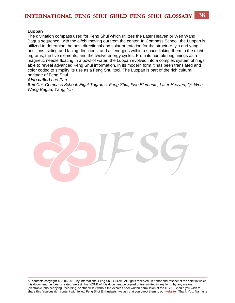#### **Luopan**

The divination compass used for Feng Shui which utilizes the Later Heaven or Wen Wang Bagua sequence, with the qi/chi moving out from the center. In Compass School, the Luopan is utilized to determine the best directional and solar orientation for the structure, yin and yang positions, sitting and facing directions, and all energies within a space linking them to the eight trigrams, the five elements, and the twelve energy cycles. From its humble beginnings as a magnetic needle floating in a bowl of water, the Luopan evolved into a complex system of rings able to reveal advanced Feng Shui information. In its modern form it has been translated and color coded to simplify its use as a Feng Shui tool. The Luopan is part of the rich cultural heritage of Feng Shui.

#### *Also called Luo Pan*

*See Chi, Compass School, Eight Trigrams, Feng Shui, Five Elements, Later Heaven, Qi, Wen Wang Bagua, Yang, Yin*

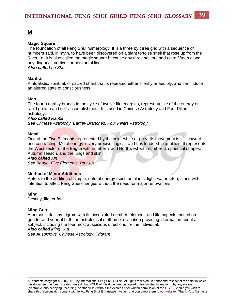#### <span id="page-39-0"></span>**Magic Square**

The foundation of all Feng Shui numerology. It is a three by three grid with a sequence of numbers said, in myth, to have been discovered on a giant tortoise shell that rose up from the River Lo. It is also called the magic square because any three sectors add up to fifteen along any diagonal, vertical, or horizontal line. *Also called Lo Shu* 

**Mantra**

A ritualistic, spiritual, or sacred chant that is repeated either silently or audibly, and can induce an altered state of consciousness.

#### **Mao**

The fourth earthly branch in the cycle of twelve life energies, representative of the energy of rapid growth and self-accomplishment. It is used in Chinese Astrology and Four Pillars astrology.

*Also called Rabbit*

*See Chinese Astrology, Earthly Branches, Four Pillars Astrology*

#### **Metal**

One of the Five Elements represented by the color white or grey. Its movement is still, inward and contracting. Metal energy is very precise, logical, and has leadership qualities. It represents the West sector of the Bagua with number 7 and Northwest with number 6, spherical shapes, Autumn season, and the lungs and skin.

*Also called Xin*

*See Bagua, Five Elements, Pa Kua*

#### **Method of Minor Additions**

Refers to the addition of simple, natural energy (such as plants, light, water, etc.), along with intention to affect Feng Shui changes without the need for major renovations.

#### **Ming**

Destiny, life, or fate.

#### **Ming Gua**

A person's destiny trigram with its associated number, element, and life aspects, based on gender and year of birth; an astrological method of divination providing information about a subject, including the four most auspicious directions for the individual. *Also called Ming Kua See Auspicious, Chinese Astrology, Trigram*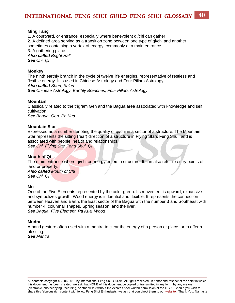#### **Ming Tang**

1. A courtyard, or entrance, especially where benevolent qi/chi can gather 2. A defined area serving as a transition zone between one type of qi/chi and another, sometimes containing a vortex of energy, commonly at a main entrance. 3. A gathering place. *Also called Bright Hall See Chi, Qi*

#### **Monkey**

The ninth earthly branch in the cycle of twelve life energies, representative of restless and flexible energy. It is used in Chinese Astrology and Four Pillars Astrology. *Also called Shen, Sh'en See Chinese Astrology, Earthly Branches, Four Pillars Astrology*

#### **Mountain**

Classically related to the trigram Gen and the Bagua area associated with knowledge and self cultivation.

*See Bagua, Gen, Pa Kua*

#### **Mountain Star**

Expressed as a number denoting the quality of qi/chi in a sector of a structure. The Mountain Star represents the sitting (rear) direction of a structure in Flying Stars Feng Shui, and is associated with people, health and relationships. *See Chi, Flying Star Feng Shui, Qi*

#### **Mouth of Qi**

The main entrance where qi/chi or energy enters a structure. It can also refer to entry points of land or property. *Also called Mouth of Chi*

*See Chi, Qi*

#### **Mu**

One of the Five Elements represented by the color green. Its movement is upward, expansive and symbolizes growth. Wood energy is influential and flexible. It represents the connection between Heaven and Earth, the East sector of the Bagua with the number 3 and Southeast with number 4, columnar shapes, Spring season, and the liver. *See Bagua, Five Element, Pa Kua, Wood* 

#### **Mudra**

A hand gesture often used with a mantra to clear the energy of a person or place, or to offer a blessing. *See Mantra*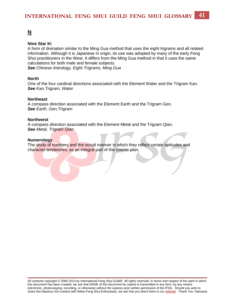#### <span id="page-41-0"></span>**Nine Star Ki**

A form of divination similar to the Ming Gua method that uses the eight trigrams and all related information. Although it is Japanese in origin, its use was adopted by many of the early Feng Shui practitioners in the West. It differs from the Ming Gua method in that it uses the same calculations for both male and female subjects. *See Chinese Astrology, Eight Trigrams, Ming Gua* 

#### **North**

One of the four cardinal directions associated with the Element Water and the Trigram Kan. *See Kan,Trigram, Water* 

#### **Northeast**

A compass direction associated with the Element Earth and the Trigram Gen. *See Earth, Gen,Trigram* 

#### **Northwest**

A compass direction associated with the Element Metal and the Trigram Qian. *See Metal, Trigram Qian*

#### **Numerology**

The study of numbers and the occult manner in which they reflect certain aptitudes and character tendencies, as an integral part of the cosmic plan.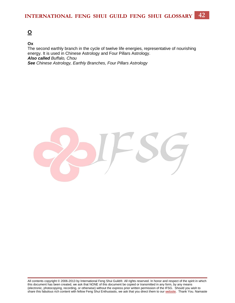### <span id="page-42-0"></span>**[O](#page-42-0)**

#### **Ox**

The second earthly branch in the cycle of twelve life energies, representative of nourishing energy. It is used in Chinese Astrology and Four Pillars Astrology. *Also called Buffalo, Chou See Chinese Astrology, Earthly Branches, Four Pillars Astrology*

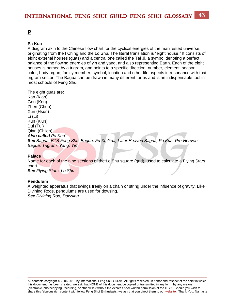### <span id="page-43-0"></span>**[P](#page-43-0)**

#### **Pa Kua**

A diagram akin to the Chinese flow chart for the cyclical energies of the manifested universe, originating from the I Ching and the Lo Shu. The literal translation is "eight house." It consists of eight external houses (guas) and a central one called the Tai Ji, a symbol denoting a perfect balance of the flowing energies of yin and yang, and also representing Earth. Each of the eight houses is named by a trigram, and points to a specific direction, number, element, season, color, body organ, family member, symbol, location and other life aspects in resonance with that trigram sector. The Bagua can be drawn in many different forms and is an indispensable tool in most schools of Feng Shui.

The eight guas are: Kan (K'an) Gen (Ken) Zhen (Chen) Xun (Hsun) Li (Li) Kun (K'un) Dui (Tui) Qian (Ch'ien) *Also called Pa Kua See Bagua, BTB Feng Shui Bagua, Fu Xi, Gua, Later Heaven Bagua, Pa Kua, Pre-Heaven Bagua, Trigram, Yang, Yin*

#### **Palace**

Name for each of the nine sections of the Lo Shu square (grid), used to calculate a Flying Stars chart.

*See Flying Stars, Lo Shu*

#### **Pendulum**

A weighted apparatus that swings freely on a chain or string under the influence of gravity. Like Divining Rods, pendulums are used for dowsing. *See Divining Rod, Dowsing*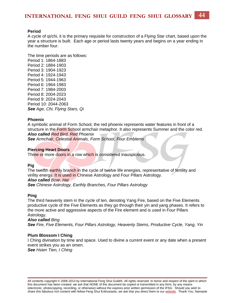#### **Period**

A cycle of qi/chi, it is the primary requisite for construction of a Flying Star chart, based upon the year a structure is built. Each age or period lasts twenty years and begins on a year ending in the number four.

The time periods are as follows: Period 1: 1864-1883 Period 2: 1884-1903 Period 3: 1904-1923 Period 4: 1924-1943 Period 5: 1944-1963 Period 6: 1964-1983 Period 7: 1984-2003 Period 8: 2004-2023 Period 9: 2024-2043 Period 10: 2044-2063 *See Age, Chi, Flying Stars, Qi* 

#### **Phoenix**

A symbolic animal of Form School, the red phoenix represents water features in front of a structure in the Form School armchair metaphor. It also represents Summer and the color red. *Also called Red Bird, Red Phoenix*

*See Armchair, Celestial Animals, Form School, Four Emblems* 

#### **Piercing Heart Doors**

Three or more doors in a row which is considered inauspicious.

#### **Pig**

The twelfth earthly branch in the cycle of twelve life energies, representative of fertility and virility energy. It is used in Chinese Astrology and Four Pillars Astrology. *Also called Boar, Hai*

*See Chinese Astrology, Earthly Branches, Four Pillars Astrology*

#### **Ping**

The third heavenly stem in the cycle of ten, denoting Yang Fire, based on the Five Elements productive cycle of the Five Elements as they go through their yin and yang phases. It refers to the more active and aggressive aspects of the Fire element and is used in Four Pillars Astrology.

#### *Also called Bing*

*See Fire, Five Elements, Four Pillars Astrology, Heavenly Stems, Productive Cycle, Yang, Yin*

#### **Plum Blossom I Ching**

I Ching divination by time and space. Used to divine a current event or any date when a present event strikes you as an omen. *See Hsien Tien, I Ching*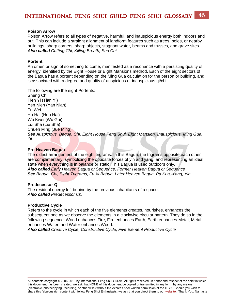#### **Poison Arrow**

Poison Arrow refers to all types of negative, harmful, and inauspicious energy both indoors and out. This can include a straight alignment of landform features such as trees, poles, or nearby buildings, sharp corners, sharp objects, stagnant water, beams and trusses, and grave sites. *Also called Cutting Chi, Killing Breath, Sha Chi*

#### **Portent**

An omen or sign of something to come, manifested as a resonance with a persisting quality of energy; identified by the Eight House or Eight Mansions method. Each of the eight sectors of the Bagua has a portent depending on the Ming Gua calculation for the person or building, and is associated with a degree and quality of auspicious or inauspicious qi/chi.

The following are the eight Portents: Sheng Chi Tien Yi (Tian Yi) Yen Nien (Yan Nian) Fu Wei Ho Hai (Huo Hai) Wu Kwei (Wu Gui) Lui Sha (Liu Sha) Chueh Ming (Jue Ming) *See Auspicious, Bagua, Chi, Eight House Feng Shui, Eight Mansion, Inauspicious, Ming Gua, Qi*

#### **Pre-Heaven Bagua**

The oldest arrangement of the eight trigrams. In this Bagua, the trigrams opposite each other are complimentary, symbolizing the opposite forces of yin and yang, and representing an ideal state when everything is in balance or static. This Bagua is used outdoors only. *Also called Early Heaven Bagua or Sequence, Former Heaven Bagua or Sequence See Bagua, Chi, Eight Trigrams, Fu Xi Bagua, Later Heaven Bagua, Pa Kua, Yang, Yin* 

#### **Predecessor Qi**

The residual energy left behind by the previous inhabitants of a space. *Also called Predecessor Chi*

#### **Productive Cycle**

Refers to the cycle in which each of the five elements creates, nourishes, enhances the subsequent one as we observe the elements in a clockwise circular pattern. They do so in the following sequence: Wood enhances Fire, Fire enhances Earth, Earth enhances Metal, Metal enhances Water, and Water enhances Wood.

*Also called Creative Cycle, Constructive Cycle, Five Element Productive Cycle*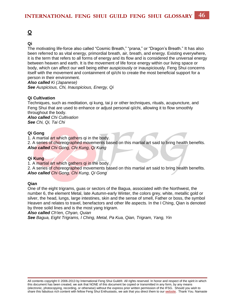### <span id="page-46-0"></span>**[Q](#page-46-0)**

#### **Qi**

The motivating life-force also called "Cosmic Breath," "prana," or "Dragon's Breath." It has also been referred to as vital energy, primordial breath, air, breath, and energy. Existing everywhere, it is the term that refers to all forms of energy and its flow and is considered the universal energy between heaven and earth. It is the movement of life force energy within our living space or body, which can affect our well being either auspiciously or inauspiciously. Feng Shui concerns itself with the movement and containment of qi/chi to create the most beneficial support for a person in their environment.

*Also called Ki (Japanese) See Auspicious, Chi, Inauspicious, Energy, Qi*

#### **Qi Cultivation**

Techniques, such as meditation, qi kung, tai ji or other techniques, rituals, acupuncture, and Feng Shui that are used to enhance or adjust personal qi/chi, allowing it to flow smoothly throughout the body. *Also called Chi Cultivation See Chi, Qi, Tai Chi*

#### **Qi Gong**

1. A martial art which gathers qi in the body.

2. A series of choreographed movements based on this martial art said to bring health benefits. *Also called Chi Gong, Chi Kung, Qi Kung*

#### **Qi Kung**

1. A martial art which gathers qi in the body.

2. A series of choreographed movements based on this martial art said to bring health benefits. *Also called Chi Gong, Chi Kung, Qi Gong*

#### **Qian**

One of the eight trigrams, guas or sectors of the Bagua, associated with the Northwest, the number 6, the element Metal, late Autumn-early Winter, the colors grey, white, metallic gold or silver, the head, lungs, large intestines, skin and the sense of smell, Father or boss, the symbol Heaven and relates to travel, benefactors and other life aspects. In the I Ching, Qian is denoted by three solid lines and is the most yang trigram.

*Also called Ch'ien, Chyan, Quian* 

*See Bagua, Eight Trigrams, I Ching, Metal, Pa Kua, Qian, Trigram, Yang, Yin*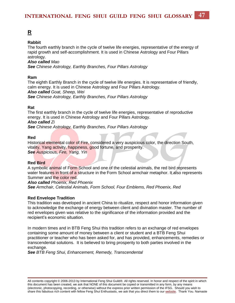### <span id="page-47-0"></span>**[R](#page-47-0)**

#### **Rabbit**

The fourth earthly branch in the cycle of twelve life energies, representative of the energy of rapid growth and self-accomplishment. It is used in Chinese Astrology and Four Pillars astrology.

#### *Also called Mao*

*See Chinese Astrology, Earthly Branches, Four Pillars Astrology*

#### **Ram**

The eighth Earthly Branch in the cycle of twelve life energies. It is representative of friendly, calm energy. It is used in Chinese Astrology and Four Pillars Astrology. *Also called Goat, Sheep, Wei*

*See Chinese Astrology, Earthly Branches, Four Pillars Astrology*

#### **Rat**

The first earthly branch in the cycle of twelve life energies, representative of reproductive energy. It is used in Chinese Astrology and Four Pillars Astrology.

#### *Also called Zi*

*See Chinese Astrology, Earthly Branches, Four Pillars Astrology*

#### **Red**

Historical elemental color of Fire, considered a very auspicious color, the direction South, vitality, Yang activity, happiness, good fortune, and prosperity. *See Auspicious, Fire, Yang, Yin*

#### **Red Bird**

A symbolic animal of Form School and one of the celestial animals, the red bird represents water features in front of a structure in the Form School armchair metaphor. It also represents Summer and the color red.

#### *Also called Phoenix, Red Phoenix*

*See Armchair, Celestial Animals, Form School, Four Emblems, Red Phoenix, Red*

#### **Red Envelope Tradition**

This tradition was developed in ancient China to ritualize, respect and honor information given to acknowledge the exchange of energy between client and divination master. The number of red envelopes given was relative to the significance of the information provided and the recipient's economic situation.

In modern times and in BTB Feng Shui this tradition refers to an exchange of red envelopes containing some amount of money between a client or student and a BTB Feng Shui practitioner or teacher who has been asked for, and has provided, enhancements, remedies or transcendental solutions. It is believed to bring prosperity to both parties involved in the exchange.

*See BTB Feng Shui, Enhancement, Remedy, Transcendental*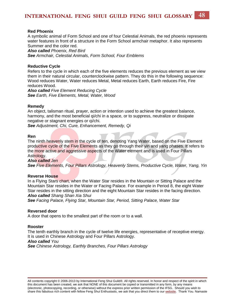#### **Red Phoenix**

A symbolic animal of Form School and one of four Celestial Animals, the red phoenix represents water features in front of a structure in the Form School armchair metaphor. It also represents Summer and the color red.

*Also called Phoenix, Red Bird*

*See Armchair, Celestial Animals, Form School, Four Emblems*

#### **Reductive Cycle**

Refers to the cycle in which each of the five elements reduces the previous element as we view them in their natural circular, counterclockwise pattern. They do this in the following sequence: Wood reduces Water, Water reduces Metal, Metal reduces Earth, Earth reduces Fire, Fire reduces Wood.

*Also called Five Element Reducing Cycle See Earth, Five Elements, Metal, Water, Wood*

#### **Remedy**

An object, talisman ritual, prayer, action or intention used to achieve the greatest balance, harmony, and the most beneficial qi/chi in a space, or to suppress, neutralize or dissipate negative or stagnant energies or qi/chi.

*See Adjustment, Chi, Cure, Enhancement, Remedy, Qi* 

#### **Ren**

The ninth heavenly stem in the cycle of ten, denoting Yang Water, based on the Five Element productive cycle of the Five Elements as they go through their yin and yang phases. It refers to the more active and aggressive aspects of the Water element and is used in Four Pillars Astrology.

#### *Also called Jen*

*See Five Elements, Four Pillars Astrology, Heavenly Stems, Productive Cycle, Water, Yang, Yin* 

#### **Reverse House**

In a Flying Stars chart, when the Water Star resides in the Mountain or Sitting Palace and the Mountain Star resides in the Water or Facing Palace. For example in Period 8, the eight Water Star resides in the sitting direction and the eight Mountain Star resides in the facing direction. *Also called Shang Shan Xia Shui* 

*See Facing Palace, Flying Star, Mountain Star, Period, Sitting Palace, Water Star*

#### **Reversed door**

A door that opens to the smallest part of the room or to a wall.

#### **Rooster**

The tenth earthly branch in the cycle of twelve life energies, representative of receptive energy. It is used in Chinese Astrology and Four Pillars Astrology. *Also called You*

*See Chinese Astrology, Earthly Branches, Four Pillars Astrology*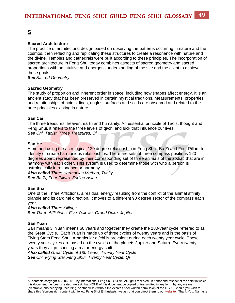### <span id="page-49-0"></span>**[S](#page-49-0)**

#### **Sacred Architecture**

The practice of architectural design based on observing the patterns occurring in nature and the cosmos, then reflecting and replicating these structures to create a resonance with nature and the divine. Temples and cathedrals were built according to these principles. The incorporation of sacred architecture in Feng Shui today combines aspects of sacred geometry and sacred proportions with an intuitive and energetic understanding of the site and the client to achieve these goals.

*See Sacred Geometry*

#### **Sacred Geometry**

The study of proportion and inherent order in space, including how shapes affect energy. It is an ancient study that has been preserved in certain mystical traditions. Measurements, properties and relationships of points, lines, angles, surfaces and solids are observed and related to the pure principles existing in nature.

#### **San Cai**

The three treasures; heaven, earth and humanity. An essential principle of Taoist thought and Feng Shui, it refers to the three levels of qi/chi and luck that influence our lives. *See Chi, Taoist, Three Treasures, Qi*

#### **San He**

A method using the astrological 120 degree relationship in Feng Shui, Ba Zi and Four Pillars to identify or create harmonious relationships. There are sets of three compass positions 120 degrees apart, represented by their corresponding set of three animals of the zodiac that are in harmony with each other. This system is used to determine those with who a person is astrologically in resonance or harmony**.**

*Also called Three Harmonies Method, Trinity See Ba Zi, Four Pillars, Zodiac-Asian* 

#### **San Sha**

One of the Three Afflictions, a residual energy resulting from the conflict of the animal affinity triangle and its cardinal direction. It moves to a different 90 degree sector of the compass each year.

#### *Also called Three Killings*

*See Three Afflictions, Five Yellows, Grand Duke, Jupiter*

#### **San Yuan**

San means 3, Yuan means 60 years and together they create the 180-year cycle referred to as the Great Cycle. Each Yuan is made up of three cycles of twenty years and is the basis of Flying Stars Feng Shui. A particular qi/chi is prevalent during each twenty year cycle. These twenty year cycles are based on the cycles of the planets Jupiter and Saturn. Every twenty years they align, causing a major energy shift.

*Also called Great Cycle of 180 Years, Twenty Year Cycle See Chi, Flying Star Feng Shui, Twenty Year Cycle, Qi*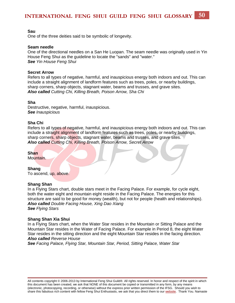#### **Sau**

One of the three deities said to be symbolic of longevity.

#### **Seam needle**

One of the directional needles on a San He Luopan. The seam needle was originally used in Yin House Feng Shui as the guideline to locate the "sands" and "water." *See Yin House Feng Shui*

#### **Secret Arrow**

Refers to all types of negative, harmful, and inauspicious energy both indoors and out. This can include a straight alignment of landform features such as trees, poles, or nearby buildings, sharp corners, sharp objects, stagnant water, beams and trusses, and grave sites. *Also called Cutting Chi, Killing Breath, Poison Arrow, Sha Chi*

#### **Sha**

Destructive, negative, harmful, inauspicious. *See Inauspicious*

#### **Sha Chi**

Refers to all types of negative, harmful, and inauspicious energy both indoors and out. This can include a straight alignment of landform features such as trees, poles, or nearby buildings, sharp corners, sharp objects, stagnant water, beams and trusses, and grave sites. *Also called Cutting Chi, Killing Breath, Poison Arrow, Secret Arrow* 

#### **Shan**

Mountain.

#### **Shang**

To ascend, up, above.

#### **Shang Shan**

In a Flying Stars chart, double stars meet in the Facing Palace. For example, for cycle eight, both the water eight and mountain eight reside in the Facing Palace. The energies for this structure are said to be good for money (wealth), but not for people (health and relationships). *Also called Double Facing House, Xing Dao Xiang See Flying Stars* 

#### **Shang Shan Xia Shui**

In a Flying Stars chart, when the Water Star resides in the Mountain or Sitting Palace and the Mountain Star resides in the Water of Facing Palace. For example in Period 8, the eight Water Star resides in the sitting direction and the eight Mountain Star resides in the facing direction. *Also called Reverse House* 

*See Facing Palace, Flying Star, Mountain Star, Period, Sitting Palace, Water Star*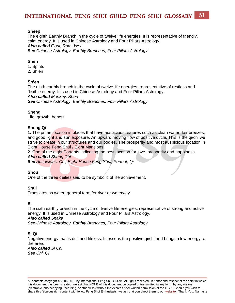#### **Sheep**

The eighth Earthly Branch in the cycle of twelve life energies. It is representative of friendly, calm energy. It is used in Chinese Astrology and Four Pillars Astrology. *Also called Goat, Ram, Wei See Chinese Astrology, Earthly Branches, Four Pillars Astrology*

#### **Shen**

1. Spirits

2. Sh'en

#### **Sh'en**

The ninth earthly branch in the cycle of twelve life energies, representative of restless and flexible energy. It is used in Chinese Astrology and Four Pillars Astrology. *Also called Monkey, Shen See Chinese Astrology, Earthly Branches, Four Pillars Astrology*

#### **Sheng**

Life, growth, benefit.

#### **Sheng Qi**

**1.** The prime location in places that have auspicious features such as clean water, fair breezes, and good light and sun exposure. An upward moving flow of positive qi/chi. This is the qi/chi we strive to create in our structures and our bodies. The prosperity and most auspicious location in Eight House Feng Shui / Eight Mansions.

2. One of the eight Portents indicating the best location for love, prosperity and happiness. *Also called Sheng Chi*

*See Auspicious, Chi, Eight House Feng Shui, Portent, Qi* 

#### **Shou**

One of the three deities said to be symbolic of life achievement.

#### **Shui**

Translates as water; general term for river or waterway.

**Si**

The sixth earthly branch in the cycle of twelve life energies, representative of strong and active energy. It is used in Chinese Astrology and Four Pillars Astrology. *Also called Snake*

*See Chinese Astrology, Earthly Branches, Four Pillars Astrology*

#### **Si Qi**

Negative energy that is dull and lifeless. It lessens the positive qi/chi and brings a low energy to the area.

*Also called Si Chi See Chi, Qi*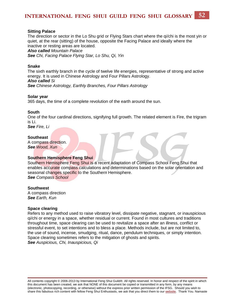#### **Sitting Palace**

The direction or sector in the Lo Shu grid or Flying Stars chart where the qi/chi is the most yin or quiet, at the rear (sitting) of the house, opposite the Facing Palace and ideally where the inactive or resting areas are located.

*Also called Mountain Palace*

*See Chi, Facing Palace Flying Star, Lo Shu, Qi, Yin*

#### **Snake**

The sixth earthly branch in the cycle of twelve life energies, representative of strong and active energy. It is used in Chinese Astrology and Four Pillars Astrology. *Also called Si See Chinese Astrology, Earthly Branches, Four Pillars Astrology*

#### **Solar year**

365 days, the time of a complete revolution of the earth around the sun.

#### **South**

One of the four cardinal directions, signifying full growth. The related element is Fire, the trigram is Li.

*See Fire, Li*

#### **Southeast**

A compass direction. *See Wood, Xun*

#### **Southern Hemisphere Feng Shui**

Southern Hemisphere Feng Shui is a recent adaptation of Compass School Feng Shui that enables accurate compass calculations and determinations based on the solar orientation and seasonal changes specific to the Southern Hemisphere. *See Compass School*

#### **Southwest**

A compass direction *See Earth, Kun*

#### **Space clearing**

Refers to any method used to raise vibratory level, dissipate negative, stagnant, or inauspicious qi/chi or energy in a space, whether residual or current. Found in most cultures and traditions throughout time, space clearing can be used to revitalize a space after an illness, conflict or stressful event, to set intentions and to bless a place. Methods include, but are not limited to, the use of sound, incense, smudging, ritual, dance, pendulum techniques, or simply intention. Space clearing sometimes refers to the mitigation of ghosts and spirits. *See Auspicious, Chi, Inauspicious, Qi*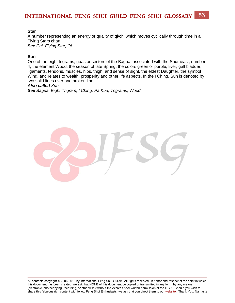#### **Star**

A number representing an energy or quality of qi/chi which moves cyclically through time in a Flying Stars chart. *See Chi, Flying Star, Qi*

#### **Sun**

One of the eight trigrams, guas or sectors of the Bagua, associated with the Southeast, number 4, the element Wood, the season of late Spring, the colors green or purple, liver, gall bladder, ligaments, tendons, muscles, hips, thigh, and sense of sight, the eldest Daughter, the symbol Wind, and relates to wealth, prosperity and other life aspects. In the I Ching, Sun is denoted by two solid lines over one broken line.

#### *Also called Xun*

*See Bagua, Eight Trigram, I Ching, Pa Kua, Trigrams, Wood* 

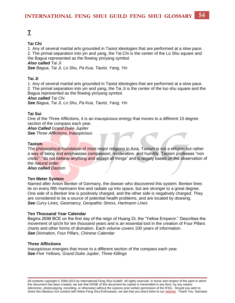#### <span id="page-54-0"></span>**Tai Chi**

1. Any of several martial arts grounded in Taoist ideologies that are performed at a slow pace. 2. The primal separation into yin and yang, the Tai Chi is the center of the Lo Shu square and the Bagua represented as the flowing yin/yang symbol.

*Also called Tai Ji*

*See Bagua, Tai Ji, Lo Shu, Pa Kua, Taoist, Yang, Yin*

#### **Tai Ji**

1. Any of several martial arts grounded in Taoist ideologies that are performed at a slow pace. 2. The primal separation into yin and yang, the Tai Ji is the center of the luo shu square and the Bagua represented as the flowing yin/yang symbol.

*Also called Tai Chi*

*See Bagua, Tai Ji, Lo Shu, Pa Kua, Taoist, Yang, Yin*

#### **Tai Sui**

One of the Three Afflictions, it is an inauspicious energy that moves to a different 15 degree section of the compass each year.

*Also Called Grand Duke Jupiter See Three Afflictions, Inauspicious* 

#### **Taoism**

The philosophical foundation of most major religions in Asia. Taoism is not a religion but rather a way of being and emphasizes compassion, moderation, and humility. Taoism professes "non credo"; "do not believe anything and accept all things" and is largely based on the observation of the natural order.

*Also called Daoism*

#### **Ten Meter System**

Named after Anton Benker of Germany, the dowser who discovered this system. Benker lines lie on every fifth Hartmann line and radiate up into space, but are stronger to a great degree. One side of a Benker line is positively charged, and the other side is negatively charged. They are considered to be a source of potential health problems, and are located by dowsing. *See Curry Lines, Geomancy, Geopathic Stress, Hartmann Lines*

#### **Ten Thousand Year Calendar**

Begins 2698 BCE on the first day of the reign of Huang Di, the "Yellow Emperor." Describes the movement of qi/chi for ten thousand years and is an essential tool in the creation of Four Pillars charts and other forms of divination. Each volume covers 100 years of information. *See Divination, Four Pillars, Chinese Calendar* 

#### **Three Afflictions**

Inauspicious energies that move to a different section of the compass each year. *See Five Yellows, Grand Duke Jupiter, Three Killings*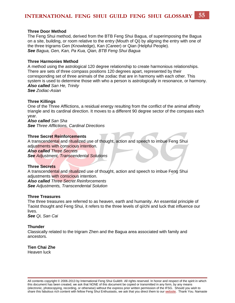#### **Three Door Method**

The Feng Shui method, derived from the BTB Feng Shui Bagua, of superimposing the Bagua on a site, building, or room relative to the entry (Mouth of Qi) by aligning the entry with one of the three trigrams Gen (Knowledge), Kan (Career) or Qian (Helpful People). *See Bagua, Gen, Kan, Pa Kua, Qian, BTB Feng Shui Bagua* 

#### **Three Harmonies Method**

A method using the astrological 120 degree relationship to create harmonious relationships. There are sets of three compass positions 120 degrees apart, represented by their corresponding set of three animals of the zodiac that are in harmony with each other. This system is used to determine those with who a person is astrologically in resonance, or harmony. *Also called San He, Trinity*

*See Zodiac-Asian*

#### **Three Killings**

One of the Three Afflictions, a residual energy resulting from the conflict of the animal affinity triangle and its cardinal direction. It moves to a different 90 degree sector of the compass each year.

*Also called San Sha See Three Afflictions, Cardinal Directions*

#### **Three Secret Reinforcements**

A transcendental and ritualized use of thought, action and speech to imbue Feng Shui adjustments with conscious intention.

*Also called Three Secrets*

*See Adjustment, Transcendental Solutions* 

#### **Three Secrets**

A transcendental and ritualized use of thought, action and speech to imbue Feng Shui adjustments with conscious intention. *Also called Three Secret Reinforcements*

*See Adjustments, Transcendental Solution* 

#### **Three Treasures**

The three treasures are referred to as heaven, earth and humanity. An essential principle of Taoist thought and Feng Shui, it refers to the three levels of qi/chi and luck that influence our lives.

*See Qi, San Cai* 

#### **Thunder**

Classically related to the trigram Zhen and the Bagua area associated with family and ancestors.

#### **Tien Chai Zhe**

Heaven luck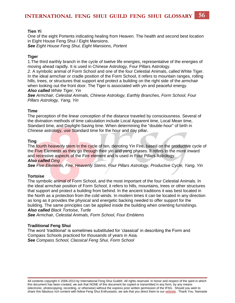#### **Tien Yi**

One of the eight Portents indicating healing from Heaven. The health and second best location in Eight House Feng Shui / Eight Mansions. *See Eight House Feng Shui, Eight Mansions, Portent* 

**Tiger** 

1.The third earthly branch in the cycle of twelve life energies, representative of the energies of moving ahead rapidly. It is used in Chinese Astrology, Four Pillars Astrology.

*2.* A symbolic animal of Form School and one of the four Celestial Animals, called White Tiger. In the ideal armchair or cradle position of the Form School, it refers to mountain ranges, rolling hills, trees, or structures that support and protect a building on the right side of the armchair when looking out the front door. The Tiger is associated with yin and peaceful energy. *Also called White Tiger, Yin*

*See Armchair, Celestial Animals, Chinese Astrology, Earthly Branches, Form School, Four Pillars Astrology, Yang, Yin*

#### **Time**

The perception of the linear conception of the distance traveled by consciousness. Several of the divination methods of time calculation include Local Apparent time, Local Mean time, Standard time, and Daylight-Saving time. When determining the "double-hour" of birth in Chinese astrology, use Standard time for the hour and day pillar.

#### **Ting**

The fourth heavenly stem in the cycle of ten, denoting Yin Fire, based on the productive cycle of the Five Elements as they go through their yin and yang phases. It refers to the more inward and recessive aspects of the Fire element and is used in Four Pillars Astrology.

#### *Also called Ding*

*See Five Elements, Fire, Heavenly Stems*, *Four Pillars Astrology, Productive Cycle, Yang, Yin*

#### **Tortoise**

The symbolic animal of Form School, and the most important of the four Celestial Animals. In the ideal armchair position of Form School, it refers to hills, mountains, trees or other structures that support and protect a building from behind. In the ancient traditions it was best located in the North as a protection from the cold winds. In modern times it can be located in any direction as long as it provides the physical and energetic backing needed to offer support for the building. The same principles can be applied inside the building when orienting furnishings. *Also called Black Tortoise, Turtle* 

*See Armchair, Celestial Animals, Form School, Four Emblems* 

#### **Traditional Feng Shui**

The word 'traditional' is sometimes substituted for 'classical' in describing the Form and Compass Schools practiced for thousands of years in Asia. *See Compass School, Classical Feng Shui, Form School*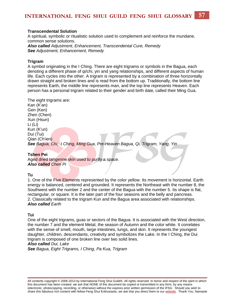#### **Transcendental Solution**

A spiritual, symbolic or ritualistic solution used to complement and reinforce the mundane, common sense solutions. *Also called Adjustment, Enhancement, Transcendental Cure, Remedy See Adjustment, Enhancement, Remedy*

#### **Trigram**

A symbol originating in the I Ching. There are eight trigrams or symbols in the Bagua, each denoting a different phase of qi/chi, yin and yang relationships, and different aspects of human life. Each cycles into the other. A trigram is represented by a combination of three horizontally drawn straight and broken lines and is read from the bottom up. Traditionally, the bottom line represents Earth, the middle line represents man, and the top line represents Heaven. Each person has a personal trigram related to their gender and birth date, called their Ming Gua.

#### The eight trigrams are:

Kan (K'an) Gen (Ken) Zhen (Chen) Xun (Hsun) Li (Li) Kun (K'un) Dui (Tui) Qian (Ch'ien) *See Bagua, Chi, I Ching, Ming Gua, Pre-Heaven Bagua, Qi, Trigram, Yang, Yin*

#### **Tshen Pei**

Aged dried tangerine skin used to purify a space. *Also called Chen Pi*

#### **Tu**

1. One of the Five Elements represented by the color yellow. Its movement is horizontal. Earth energy is balanced, centered and grounded. It represents the Northeast with the number 8, the Southwest with the number 2 and the center of the Bagua with the number 5. Its shape is flat, rectangular, or square. It is the later part of the four seasons and the belly and pancreas. 2. Classically related to the trigram Kun and the Bagua area associated with relationships. *Also called Earth*

**Tui** 

One of the eight trigrams, guas or sectors of the Bagua. It is associated with the West direction, the number 7 and the element Metal, the season of Autumn and the color white. It correlates with the sense of smell, mouth, large intestines, lungs, and skin. It represents the youngest daughter, children, descendants, creativity and symbolizes the Lake. In the I Ching, the Dui trigram is composed of one broken line over two solid lines.

*Also called Dui, Lake*

*See Bagua, Eight Trigrams, I Ching, Pa Kua, Trigram*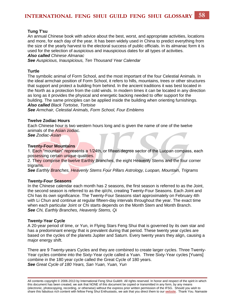#### **Tung T'su**

An annual Chinese book with advice about the best, worst, and appropriate activities, locations and more, for each day of the year. It has been widely used in China to predict everything from the size of the yearly harvest to the electoral success of public officials. In its almanac form it is used for the selection of auspicious and inauspicious dates for all types of activities. *Also called Chinese Almanac* 

*See Auspicious, Inauspicious, Ten Thousand Year Calendar* 

#### **Turtle**

The symbolic animal of Form School, and the most important of the four Celestial Animals. In the ideal armchair position of Form School, it refers to hills, mountains, trees or other structures that support and protect a building from behind. In the ancient traditions it was best located in the North as a protection from the cold winds. In modern times it can be located in any direction as long as it provides the physical and energetic backing needed to offer support for the building. The same principles can be applied inside the building when orienting furnishings. *Also called Black Tortoise, Tortoise*

*See Armchair, Celestial Animals, Form School, Four Emblems* 

#### **Twelve Zodiac Hours**

Each Chinese hour is two western hours long and is given the name of one of the twelve animals of the Asian zodiac.

*See Zodiac-Asian*

#### **Twenty-Four Mountains**

1. Each "mountain" represents a 1/24th, or fifteen degree sector of the Luopan compass, each possessing certain unique qualities.

2. They comprise the twelve Earthly Branches, the eight Heavenly Stems and the four corner trigrams.

*See Earthly Branches, Heavenly Stems Four Pillars Astrology, Luopan, Mountain, Trigrams*

#### **Twenty-Four Seasons**

In the Chinese calendar each month has 2 seasons, the first season is referred to as the Joint, the second season is referred to as the qi/chi, creating Twenty-Four Seasons. Each Joint and Chi has its own significance. The Twenty-Four Seasons start approximately on February 4th with Li Chun and continue at regular fifteen-day intervals throughout the year. The exact time when each particular Joint or Chi starts depends on the Month Stem and Month Branch. *See Chi, Earthly Branches, Heavenly Stems, Qi*

#### **Twenty-Year Cycle**

A 20-year period of time, or Yun, in Flying Stars Feng Shui that is governed by its own star and has a predominant energy that is prevalent during that period. These twenty year cycles are based on the cycles of the planets Jupiter and Saturn. Every twenty years they align, causing a major energy shift.

There are 9 Twenty-years Cycles and they are combined to create larger cycles. Three Twenty-Year cycles combine into the Sixty-Year cycle called a Yuan. Three Sixty-Year cycles [Yuans] combine in the 180 year cycle called the Great Cycle of 180 years. *See Great Cycle of 180 Years, San Yuan, Yuan, Yun*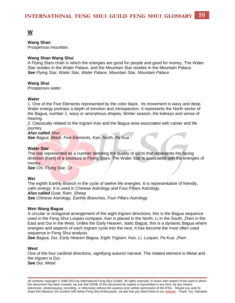### <span id="page-59-0"></span>**[W](#page-59-0)**

#### **Wang Shan**

Prosperous mountain.

#### **Wang Shan Wang Shui**

A Flying Stars chart in which the energies are good for people and good for money. The Water Star resides in the Water Palace, and the Mountain Star resides in the Mountain Palace. *See Flying Star, Water Star, Water Palace, Mountain Star, Mountain Palace*

#### **Wang Shui**

Prosperous water.

#### **Water**

1. One of the Five Elements represented by the color black. Its movement is wavy and deep. Water energy portrays a depth of emotion and introspection. It represents the North sector of the Bagua, number 1, wavy or amorphous shapes, Winter season, the kidneys and sense of hearing.

2. Classically related to the trigram Kan and the Bagua area associated with career and life journey.

*Also called Shui See Bagua, Black, Five Elements, Kan, North, Pa Kua*

#### **Water Star**

The star represented as a number denoting the quality of gi/chi that represents the facing direction (front) of a structure in Flying Stars. The Water Star is associated with the energies of money.

*See Chi, Flying Star, Qi*

#### **Wei**

The eighth Earthly Branch in the cycle of twelve life energies. It is representative of friendly, calm energy. It is used in Chinese Astrology and Four Pillars Astrology. *Also called Goat, Ram, Sheep*

*See Chinese Astrology, Earthly Branches, Four Pillars Astrology*

#### **Wen Wang Bagua**

A circular or octagonal arrangement of the eight trigram directions, this is the Bagua sequence used in the Feng Shui Luopan compass. Kan is placed in the North, Li in the South, Zhen in the East and Dui in the West. Unlike the Early Heaven, static Bagua, this is a dynamic Bagua where energies and aspects of each trigram cycle into the next. It has become the most often used sequence in Feng Shui analysis.

*See Bagua, Dui, Early Heaven Bagua, Eight Trigram, Kan, Li, Luopan, Pa Kua, Zhen* 

#### **West**

One of the four cardinal directions, signifying autumn harvest. The related element is Metal and the trigram is Dui. *See Dui, Metal*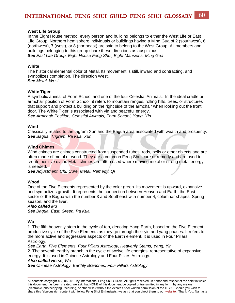#### **West Life Group**

In the Eight House method, every person and building belongs to either the West Life or East Life Group. Northern hemisphere individuals or buildings having a Ming Gua of 2 (southwest), 6 (northwest), 7 (west), or 8 (northeast) are said to belong to the West Group. All members and buildings belonging to this group share these directions as auspicious. *See East Life Group, Eight House Feng Shui, Eight Mansions, Ming Gua*

#### **White**

The historical elemental color of Metal. Its movement is still, inward and contracting, and symbolizes completion. The direction West. *See Metal, West*

#### **White Tiger**

A symbolic animal of Form School and one of the four Celestial Animals. In the ideal cradle or armchair position of Form School, it refers to mountain ranges, rolling hills, trees, or structures that support and protect a building on the right side of the armchair when looking out the front door. The White Tiger is associated with yin and peaceful energy. *See Armchair Position, Celestial Animals, Form School, Yang, Yin*

#### **Wind**

Classically related to the trigram Xun and the Bagua area associated with wealth and prosperity. *See Bagua, Trigram, Pa Kua, Xun*

#### **Wind Chimes**

Wind chimes are chimes constructed from suspended tubes, rods, bells or other objects and are often made of metal or wood. They are a common Feng Shui cure or remedy and are used to create positive qi/chi. Metal chimes are often used where moving metal or strong metal energy is needed.

*See Adjustment, Chi, Cure, Metal, Remedy, Qi*

#### **Wood**

One of the Five Elements represented by the color green. Its movement is upward, expansive and symbolizes growth. It represents the connection between Heaven and Earth, the East sector of the Bagua with the number 3 and Southeast with number 4, columnar shapes, Spring season, and the liver.

#### *Also called Mu*

*See Bagua, East, Green, Pa Kua*

#### **Wu**

1. The fifth heavenly stem in the cycle of ten, denoting Yang Earth, based on the Five Element productive cycle of the Five Elements as they go through their yin and yang phases. It refers to the more active and aggressive aspects of the Earth element. It is used in Four Pillars Astrology.

*See Earth, Five Elements, Four Pillars Astrology, Heavenly Stems, Yang, Yin* 2. The seventh earthly branch in the cycle of twelve life energies, representative of expansive energy. It is used in Chinese Astrology and Four Pillars Astrology.

#### *Also called Horse, We*

*See Chinese Astrology, Earthly Branches, Four Pillars Astrology*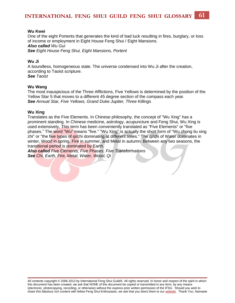#### **Wu Kwei**

One of the eight Portents that generates the kind of bad luck resulting in fires, burglary, or loss of income or employment in Eight House Feng Shui / Eight Mansions. *Also called Wu Gui See Eight House Feng Shui, Eight Mansions, Portent* 

#### **Wu Ji**

A boundless, homogeneous state. The universe condensed into Wu Ji after the creation, according to Taoist scripture. *See Taoist*

#### **Wu Wang**

The most inauspicious of the Three Afflictions, Five Yellows is determined by the position of the Yellow Star 5 that moves to a different 45 degree section of the compass each year. *See Annual Star, Five Yellows, Grand Duke Jupiter, Three Killings*

#### **Wu Xing**

Translates as the Five Elements. In Chinese philosophy, the concept of "Wu Xing" has a prominent standing. In Chinese medicine, astrology, acupuncture and Feng Shui, Wu Xing is used extensively. This term has been conveniently translated as "Five Elements" or "five phases." The word "Wu" means "five." "Wu Xing" is actually the short form of "Wu zhong liu xing zhi" or "the five types of gi/chi dominating at different times." The gi/chi of Water dominates in winter, Wood in spring, Fire in summer, and Metal in autumn. Between any two seasons, the transitional period is dominated by Earth.

*Also called Five Elements, Five Phases, Five Transformations See Chi, Earth, Fire, Metal, Water, Wood, Qi*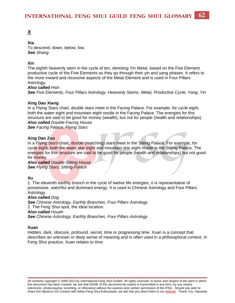### <span id="page-62-0"></span>**[X](#page-62-0)**

#### **Xia**

To descend; down, below, low. *See Shang*

#### **Xin**

The eighth heavenly stem in the cycle of ten, denoting Yin Metal, based on the Five Element productive cycle of the Five Elements as they go through their yin and yang phases. It refers to the more inward and recessive aspects of the Metal Element and is used in Four Pillars Astrology.

*Also called Hsin See Five Elements, Four Pillars Astrology, Heavenly Stems, Metal, Productive Cycle, Yang, Yin*

#### **Xing Dao Xiang**

In a Flying Stars chart, double stars meet in the Facing Palace. For example, for cycle eight, both the water eight and mountain eight reside in the Facing Palace. The energies for this structure are said to be good for money (wealth), but not for people (health and relationships). *Also called Double-Facing House* 

*See Facing Palace, Flying Stars*

#### **Xing Dao Zuo**

In a Flying Stars chart, double (matching) stars meet in the Sitting Palace. For example, for cycle eight, both the water star eight and mountain star eight reside in the Sitting Palace. The energies for this structure are said to be good for people (health and relationships) but not good for money.

*Also called Double-Sitting House See Flying Stars, Sitting Palace*

#### **Xu**

1. The eleventh earthly branch in the cycle of twelve life energies, it is representative of possessive, watchful and dominant energy. It is used in Chinese Astrology and Four Pillars Astrology.

#### *Also called Dog*

*See Chinese Astrology, Earthly Branches, Four Pillars Astrology* 2. The Feng Shui spot, the ideal location. *Also called Hsueh See Chinese Astrology, Earthly Branches, Four Pillars Astrology*

#### **Xuan**

Hidden, dark, obscure, profound, secret, time or progressing time. Xuan is a concept that describes an unknown or deep sense of meaning and is often used in a philosophical context. In Feng Shui practice, Xuan relates to time.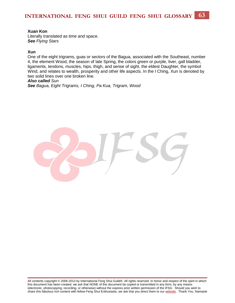#### **Xuan Kon**

Literally translated as time and space. *See Flying Stars*

#### **Xun**

One of the eight trigrams, guas or sectors of the Bagua, associated with the Southeast, number 4, the element Wood, the season of late Spring, the colors green or purple, liver, gall bladder, ligaments, tendons, muscles, hips, thigh, and sense of sight, the eldest Daughter, the symbol Wind, and relates to wealth, prosperity and other life aspects. In the I Ching, Xun is denoted by two solid lines over one broken line.

#### *Also called Sun*

*See Bagua, Eight Trigrams, I Ching, Pa Kua, Trigram, Wood*

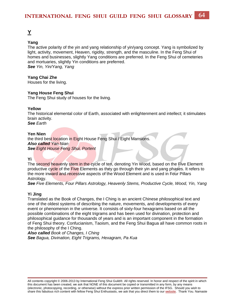### <span id="page-64-0"></span>**[Y](#page-64-0)**

#### **Yang**

The active polarity of the yin and yang relationship of yin/yang concept. Yang is symbolized by light, activity, movement, Heaven, rigidity, strength, and the masculine. In the Feng Shui of homes and businesses, slightly Yang conditions are preferred. In the Feng Shui of cemeteries and mortuaries, slightly Yin conditions are preferred. *See Yin, Yin/Yang, Yang*

#### **Yang Chai Zhe**

Houses for the living.

#### **Yang House Feng Shui**

The Feng Shui study of houses for the living.

#### **Yellow**

The historical elemental color of Earth, associated with enlightenment and intellect; it stimulates brain activity. *See Earth*

#### **Yen Nien**

the third best location in Eight House Feng Shui / Eight Mansions. *Also called Yan Nian See Eight House Feng Shui, Portent*

#### **Yi**

The second heavenly stem in the cycle of ten, denoting Yin Wood, based on the Five Element productive cycle of the Five Elements as they go through their yin and yang phases. It refers to the more inward and recessive aspects of the Wood Element and is used in Four Pillars Astrology.

*See Five Elements, Four Pillars Astrology, Heavenly Stems, Productive Cycle, Wood, Yin, Yang* 

#### **Yi Jing**

Translated as the Book of Changes, the I Ching is an ancient Chinese philosophical text and one of the oldest systems of describing the nature, movements, and developments of every event or phenomenon in the universe. It consists of sixty-four hexagrams based on all the possible combinations of the eight trigrams and has been used for divination, protection and philosophical guidance for thousands of years and is an important component in the formation of Feng Shui theory. Confucianism, Taoism, and the Feng Shui Bagua all have common roots in the philosophy of the I Ching.

*Also called Book of Changes, I Ching See Bagua, Divination, Eight Trigrams, Hexagram, Pa Kua*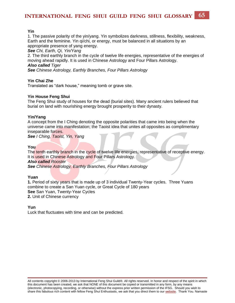#### **Yin**

1. The passive polarity of the yin/yang. Yin symbolizes darkness, stillness, flexibility, weakness, Earth and the feminine. Yin qi/chi, or energy, must be balanced in all situations by an appropriate presence of yang energy.

*See Chi, Earth, Qi, Yin/Yang* 

2. The third earthly branch in the cycle of twelve life energies, representative of the energies of moving ahead rapidly. It is used in Chinese Astrology and Four Pillars Astrology.

#### *Also called Tiger*

*See Chinese Astrology, Earthly Branches, Four Pillars Astrology* 

#### **Yin Chai Zhe**

Translated as "dark house," meaning tomb or grave site.

#### **Yin House Feng Shui**

The Feng Shui study of houses for the dead (burial sites). Many ancient rulers believed that burial on land with nourishing energy brought prosperity to their dynasty.

#### **Yin/Yang**

A concept from the I Ching denoting the opposite polarities that came into being when the universe came into manifestation; the Taoist idea that unites all opposites as complimentary inseparable forces.

*See I Ching, Taoist, Yin, Yang*

#### **You**

The tenth earthly branch in the cycle of twelve life energies, representative of receptive energy. It is used in Chinese Astrology and Four Pillars Astrology. *Also called Rooster*

*See Chinese Astrology, Earthly Branches, Four Pillars Astrology*

#### **Yuan**

**1.** Period of sixty years that is made up of 3 individual Twenty-Year cycles. Three Yuans combine to create a San Yuan cycle, or Great Cycle of 180 years **See** San Yuan, Twenty-Year Cycles **2.** Unit of Chinese currency

#### **Yun**

Luck that fluctuates with time and can be predicted.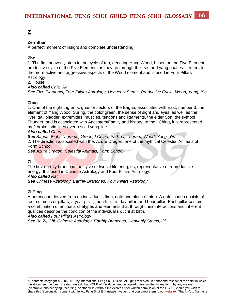### <span id="page-66-0"></span>**[Z](#page-66-0)**

#### **Zen Shan**

A perfect moment of insight and complete understanding.

#### **Zhe**

1. The first heavenly stem in the cycle of ten, denoting Yang Wood, based on the Five Element productive cycle of the Five Elements as they go through their yin and yang phases. It refers to the more active and aggressive aspects of the Wood element and is used in Four Pillars Astrology.

2. House

*Also called Chia, Jia See Five Elements, Four Pillars Astrology, Heavenly Stems, Productive Cycle, Wood, Yang, Yin* 

#### **Zhen**

1. One of the eight trigrams, guas or sectors of the Bagua, associated with East, number 3, the element of Yang Wood, Spring, the color green, the sense of sight and eyes, as well as the liver, gall bladder, extremities, muscles, tendons and ligaments, the elder Son, the symbol Thunder, and is associated with Ancestors/Family and history. In the I Ching, it is represented by 2 broken yin lines over a solid yang line.

#### *Also called Chen*

*See Bagua, Eight Trigrams, Green, I Ching, Pa Kua, Trigram, Wood, Yang, Yin* 2. The direction associated with the, Azure Dragon, one of the mythical Celestial Animals of Form School.

*See Azure Dragon, Celestial Animals, Form School*

### **Zi**

The first earthly branch in the cycle of twelve life energies, representative of reproductive energy. It is used in Chinese Astrology and Four Pillars Astrology.

#### *Also called Rat*

*See Chinese Astrology, Earthly Branches, Four Pillars Astrology*

#### **Zi Ping**

A horoscope derived from an individual's time, date and place of birth. A natal chart consists of four columns or pillars; a year pillar, month pillar, day pillar, and hour pillar. Each pillar contains a combination of animal archetypes and elements that through their interactions and inherent qualities describe the condition of the individual's qi/chi at birth.

#### *Also called Four Pillars Astrology*

*See Ba Zi, Chi, Chinese Astrology, Earthly Branches, Heavenly Stems, Qi*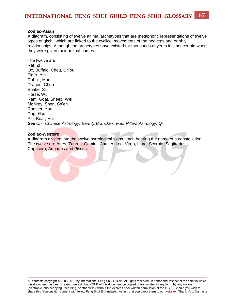#### **Zodiac-Asian**

A diagram, consisting of twelve animal archetypes that are metaphoric representations of twelve types of qi/chi, which are linked to the cyclical movements of the heavens and earthly relationships. Although the archetypes have existed for thousands of years it is not certain when they were given their animal names.

The twelve are: Rat, Zi Ox, Buffalo, Chou, Ch'ou Tiger, Yin Rabbit, Mao Dragon, Chen Snake, Si Horse, Wu Ram, Goat, Sheep, Wei Monkey, Shen, Sh'en Rooster, You Dog, Hsu Pig, Boar, Hai *See Chi, Chinese Astrology, Earthly Branches, Four Pillars Astrology, Qi*

#### **Zodiac-Western**

A diagram divided into the twelve astrological signs, each bearing the name of a constellation. The twelve are Aries, Taurus, Gemini, Cancer, Leo, Virgo, Libra, Scorpio, Sagittarius, Capricorn, Aquarius and Pisces.